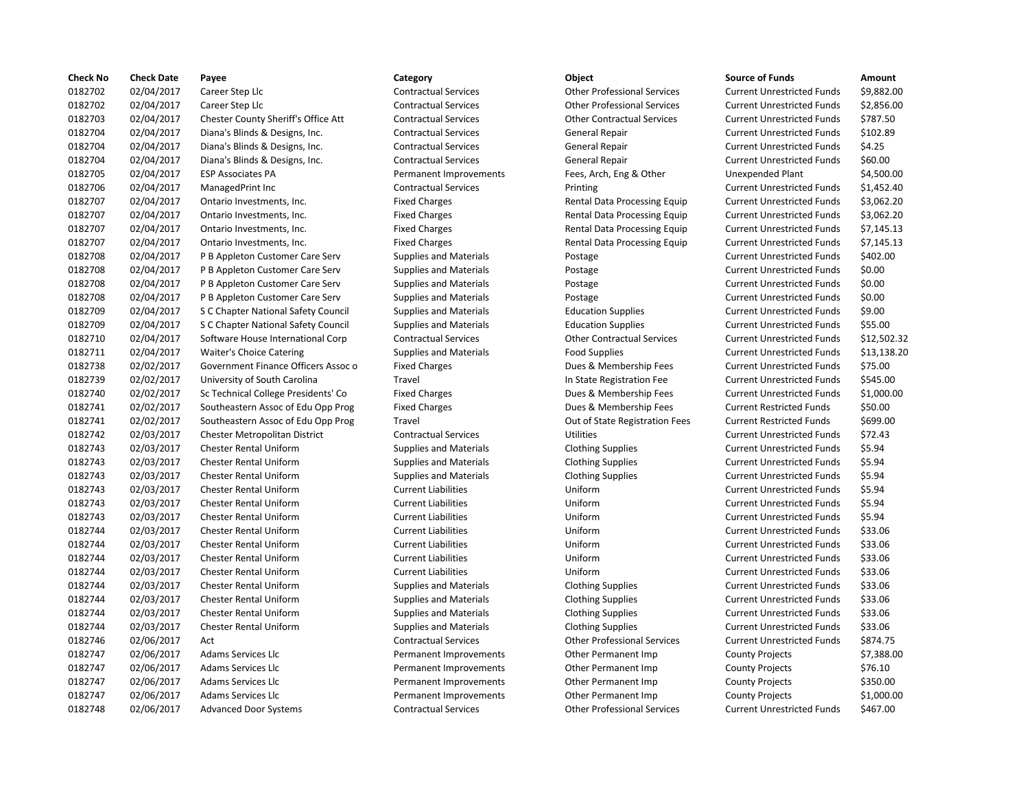| <b>Check No</b> | <b>Check Date</b> | Payee                               | Category                      | Object                             | <b>Source of Funds</b>            | Amount    |
|-----------------|-------------------|-------------------------------------|-------------------------------|------------------------------------|-----------------------------------|-----------|
| 0182702         | 02/04/2017        | Career Step Llc                     | <b>Contractual Services</b>   | <b>Other Professional Services</b> | <b>Current Unrestricted Funds</b> | \$9,882.0 |
| 0182702         | 02/04/2017        | Career Step Llc                     | <b>Contractual Services</b>   | <b>Other Professional Services</b> | <b>Current Unrestricted Funds</b> | \$2,856.0 |
| 0182703         | 02/04/2017        | Chester County Sheriff's Office Att | <b>Contractual Services</b>   | <b>Other Contractual Services</b>  | <b>Current Unrestricted Funds</b> | \$787.50  |
| 0182704         | 02/04/2017        | Diana's Blinds & Designs, Inc.      | <b>Contractual Services</b>   | General Repair                     | <b>Current Unrestricted Funds</b> | \$102.89  |
| 0182704         | 02/04/2017        | Diana's Blinds & Designs, Inc.      | <b>Contractual Services</b>   | General Repair                     | <b>Current Unrestricted Funds</b> | \$4.25    |
| 0182704         | 02/04/2017        | Diana's Blinds & Designs, Inc.      | <b>Contractual Services</b>   | <b>General Repair</b>              | <b>Current Unrestricted Funds</b> | \$60.00   |
| 0182705         | 02/04/2017        | <b>ESP Associates PA</b>            | Permanent Improvements        | Fees, Arch, Eng & Other            | Unexpended Plant                  | \$4,500.0 |
| 0182706         | 02/04/2017        | ManagedPrint Inc                    | <b>Contractual Services</b>   | Printing                           | <b>Current Unrestricted Funds</b> | \$1,452.4 |
| 0182707         | 02/04/2017        | Ontario Investments, Inc.           | <b>Fixed Charges</b>          | Rental Data Processing Equip       | <b>Current Unrestricted Funds</b> | \$3,062.2 |
| 0182707         | 02/04/2017        | Ontario Investments, Inc.           | <b>Fixed Charges</b>          | Rental Data Processing Equip       | <b>Current Unrestricted Funds</b> | \$3,062.2 |
| 0182707         | 02/04/2017        | Ontario Investments, Inc.           | <b>Fixed Charges</b>          | Rental Data Processing Equip       | <b>Current Unrestricted Funds</b> | \$7,145.1 |
| 0182707         | 02/04/2017        | Ontario Investments, Inc.           | <b>Fixed Charges</b>          | Rental Data Processing Equip       | <b>Current Unrestricted Funds</b> | \$7,145.1 |
| 0182708         | 02/04/2017        | P B Appleton Customer Care Serv     | <b>Supplies and Materials</b> | Postage                            | <b>Current Unrestricted Funds</b> | \$402.00  |
| 0182708         | 02/04/2017        | P B Appleton Customer Care Serv     | <b>Supplies and Materials</b> | Postage                            | <b>Current Unrestricted Funds</b> | \$0.00    |
| 0182708         | 02/04/2017        | P B Appleton Customer Care Serv     | <b>Supplies and Materials</b> | Postage                            | <b>Current Unrestricted Funds</b> | \$0.00    |
| 0182708         | 02/04/2017        | P B Appleton Customer Care Serv     | <b>Supplies and Materials</b> | Postage                            | <b>Current Unrestricted Funds</b> | \$0.00    |
| 0182709         | 02/04/2017        | S C Chapter National Safety Council | <b>Supplies and Materials</b> | <b>Education Supplies</b>          | <b>Current Unrestricted Funds</b> | \$9.00    |
| 0182709         | 02/04/2017        | S C Chapter National Safety Council | <b>Supplies and Materials</b> | <b>Education Supplies</b>          | <b>Current Unrestricted Funds</b> | \$55.00   |
| 0182710         | 02/04/2017        | Software House International Corp   | <b>Contractual Services</b>   | <b>Other Contractual Services</b>  | <b>Current Unrestricted Funds</b> | \$12,502  |
| 0182711         | 02/04/2017        | <b>Waiter's Choice Catering</b>     | <b>Supplies and Materials</b> | <b>Food Supplies</b>               | <b>Current Unrestricted Funds</b> | \$13,138  |
| 0182738         | 02/02/2017        | Government Finance Officers Assoc o | <b>Fixed Charges</b>          | Dues & Membership Fees             | <b>Current Unrestricted Funds</b> | \$75.00   |
| 0182739         | 02/02/2017        | University of South Carolina        | Travel                        | In State Registration Fee          | <b>Current Unrestricted Funds</b> | \$545.00  |
| 0182740         | 02/02/2017        | Sc Technical College Presidents' Co | <b>Fixed Charges</b>          | Dues & Membership Fees             | <b>Current Unrestricted Funds</b> | \$1,000.0 |
| 0182741         | 02/02/2017        | Southeastern Assoc of Edu Opp Prog  | <b>Fixed Charges</b>          | Dues & Membership Fees             | <b>Current Restricted Funds</b>   | \$50.00   |
| 0182741         | 02/02/2017        | Southeastern Assoc of Edu Opp Prog  | Travel                        | Out of State Registration Fees     | <b>Current Restricted Funds</b>   | \$699.00  |
| 0182742         | 02/03/2017        | Chester Metropolitan District       | <b>Contractual Services</b>   | <b>Utilities</b>                   | <b>Current Unrestricted Funds</b> | \$72.43   |
| 0182743         | 02/03/2017        | <b>Chester Rental Uniform</b>       | <b>Supplies and Materials</b> | <b>Clothing Supplies</b>           | <b>Current Unrestricted Funds</b> | \$5.94    |
| 0182743         | 02/03/2017        | <b>Chester Rental Uniform</b>       | <b>Supplies and Materials</b> | <b>Clothing Supplies</b>           | <b>Current Unrestricted Funds</b> | \$5.94    |
| 0182743         | 02/03/2017        | <b>Chester Rental Uniform</b>       | <b>Supplies and Materials</b> | <b>Clothing Supplies</b>           | <b>Current Unrestricted Funds</b> | \$5.94    |
| 0182743         | 02/03/2017        | <b>Chester Rental Uniform</b>       | <b>Current Liabilities</b>    | Uniform                            | <b>Current Unrestricted Funds</b> | \$5.94    |
| 0182743         | 02/03/2017        | <b>Chester Rental Uniform</b>       | <b>Current Liabilities</b>    | Uniform                            | <b>Current Unrestricted Funds</b> | \$5.94    |
| 0182743         | 02/03/2017        | <b>Chester Rental Uniform</b>       | <b>Current Liabilities</b>    | Uniform                            | <b>Current Unrestricted Funds</b> | \$5.94    |
| 0182744         | 02/03/2017        | <b>Chester Rental Uniform</b>       | <b>Current Liabilities</b>    | Uniform                            | <b>Current Unrestricted Funds</b> | \$33.06   |
| 0182744         | 02/03/2017        | <b>Chester Rental Uniform</b>       | <b>Current Liabilities</b>    | Uniform                            | <b>Current Unrestricted Funds</b> | \$33.06   |
| 0182744         | 02/03/2017        | <b>Chester Rental Uniform</b>       | <b>Current Liabilities</b>    | Uniform                            | <b>Current Unrestricted Funds</b> | \$33.06   |
| 0182744         | 02/03/2017        | <b>Chester Rental Uniform</b>       | <b>Current Liabilities</b>    | Uniform                            | <b>Current Unrestricted Funds</b> | \$33.06   |
| 0182744         | 02/03/2017        | <b>Chester Rental Uniform</b>       | <b>Supplies and Materials</b> | <b>Clothing Supplies</b>           | <b>Current Unrestricted Funds</b> | \$33.06   |
| 0182744         | 02/03/2017        | <b>Chester Rental Uniform</b>       | <b>Supplies and Materials</b> | <b>Clothing Supplies</b>           | <b>Current Unrestricted Funds</b> | \$33.06   |
| 0182744         | 02/03/2017        | <b>Chester Rental Uniform</b>       | <b>Supplies and Materials</b> | <b>Clothing Supplies</b>           | <b>Current Unrestricted Funds</b> | \$33.06   |
| 0182744         | 02/03/2017        | <b>Chester Rental Uniform</b>       | <b>Supplies and Materials</b> | <b>Clothing Supplies</b>           | <b>Current Unrestricted Funds</b> | \$33.06   |
| 0182746         | 02/06/2017        | Act                                 | <b>Contractual Services</b>   | <b>Other Professional Services</b> | <b>Current Unrestricted Funds</b> | \$874.75  |
| 0182747         | 02/06/2017        | Adams Services Llc                  | Permanent Improvements        | Other Permanent Imp                | <b>County Projects</b>            | \$7,388.0 |
| 0182747         | 02/06/2017        | Adams Services Llc                  | Permanent Improvements        | Other Permanent Imp                | <b>County Projects</b>            | \$76.10   |
| 0182747         | 02/06/2017        | <b>Adams Services Llc</b>           | Permanent Improvements        | <b>Other Permanent Imp</b>         | <b>County Projects</b>            | \$350.00  |
| 0182747         | 02/06/2017        | Adams Services Llc                  | Permanent Improvements        | <b>Other Permanent Imp</b>         | <b>County Projects</b>            | \$1,000.0 |
| 0182748         | 02/06/2017        | <b>Advanced Door Systems</b>        | <b>Contractual Services</b>   | <b>Other Professional Services</b> | <b>Current Unrestricted Funds</b> | \$467.00  |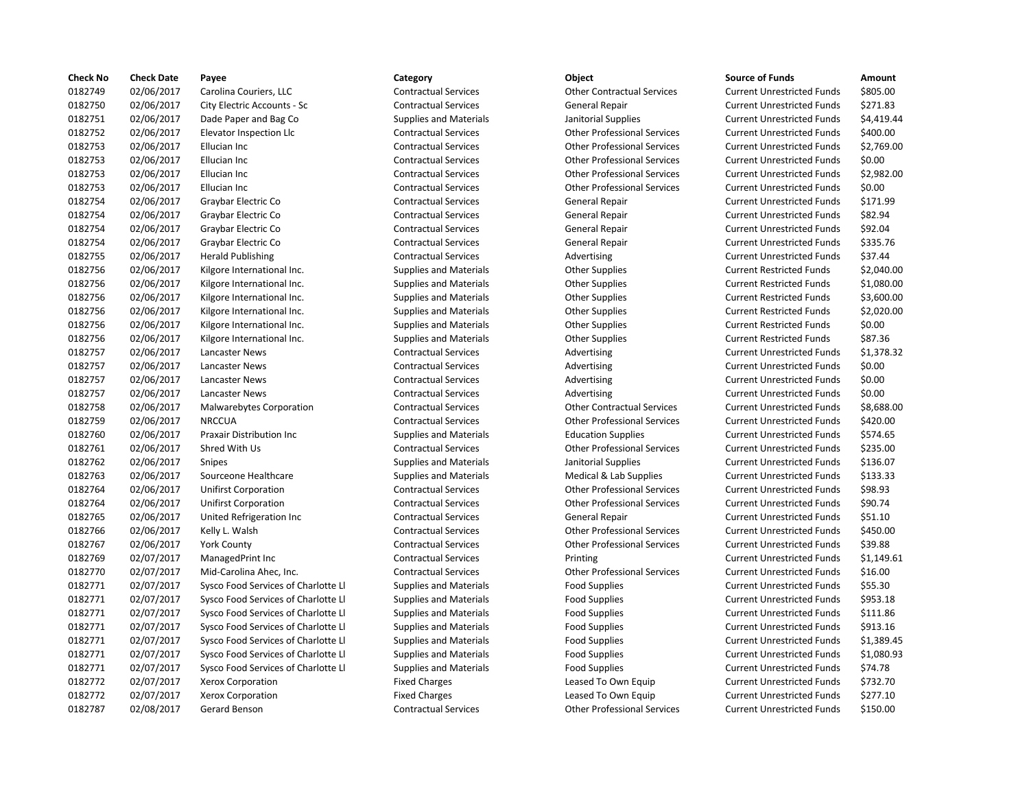| <b>Check No</b> | <b>Check Date</b> | Payee                               | Category                      | Object                             | <b>Source of Funds</b>            | Amount    |
|-----------------|-------------------|-------------------------------------|-------------------------------|------------------------------------|-----------------------------------|-----------|
| 0182749         | 02/06/2017        | Carolina Couriers, LLC              | <b>Contractual Services</b>   | <b>Other Contractual Services</b>  | <b>Current Unrestricted Funds</b> | \$805.00  |
| 0182750         | 02/06/2017        | City Electric Accounts - Sc         | <b>Contractual Services</b>   | General Repair                     | <b>Current Unrestricted Funds</b> | \$271.83  |
| 0182751         | 02/06/2017        | Dade Paper and Bag Co               | <b>Supplies and Materials</b> | Janitorial Supplies                | <b>Current Unrestricted Funds</b> | \$4,419.4 |
| 0182752         | 02/06/2017        | Elevator Inspection Llc             | <b>Contractual Services</b>   | <b>Other Professional Services</b> | <b>Current Unrestricted Funds</b> | \$400.00  |
| 0182753         | 02/06/2017        | Ellucian Inc                        | <b>Contractual Services</b>   | <b>Other Professional Services</b> | <b>Current Unrestricted Funds</b> | \$2,769.0 |
| 0182753         | 02/06/2017        | Ellucian Inc                        | <b>Contractual Services</b>   | <b>Other Professional Services</b> | <b>Current Unrestricted Funds</b> | \$0.00    |
| 0182753         | 02/06/2017        | Ellucian Inc                        | <b>Contractual Services</b>   | <b>Other Professional Services</b> | <b>Current Unrestricted Funds</b> | \$2,982.0 |
| 0182753         | 02/06/2017        | Ellucian Inc                        | <b>Contractual Services</b>   | <b>Other Professional Services</b> | <b>Current Unrestricted Funds</b> | \$0.00    |
| 0182754         | 02/06/2017        | Graybar Electric Co                 | <b>Contractual Services</b>   | General Repair                     | <b>Current Unrestricted Funds</b> | \$171.99  |
| 0182754         | 02/06/2017        | Graybar Electric Co                 | <b>Contractual Services</b>   | <b>General Repair</b>              | <b>Current Unrestricted Funds</b> | \$82.94   |
| 0182754         | 02/06/2017        | Graybar Electric Co                 | <b>Contractual Services</b>   | General Repair                     | <b>Current Unrestricted Funds</b> | \$92.04   |
| 0182754         | 02/06/2017        | Graybar Electric Co                 | <b>Contractual Services</b>   | General Repair                     | <b>Current Unrestricted Funds</b> | \$335.76  |
| 0182755         | 02/06/2017        | <b>Herald Publishing</b>            | <b>Contractual Services</b>   | Advertising                        | <b>Current Unrestricted Funds</b> | \$37.44   |
| 0182756         | 02/06/2017        | Kilgore International Inc.          | <b>Supplies and Materials</b> | <b>Other Supplies</b>              | <b>Current Restricted Funds</b>   | \$2,040.0 |
| 0182756         | 02/06/2017        | Kilgore International Inc.          | <b>Supplies and Materials</b> | <b>Other Supplies</b>              | <b>Current Restricted Funds</b>   | \$1,080.0 |
| 0182756         | 02/06/2017        | Kilgore International Inc.          | <b>Supplies and Materials</b> | <b>Other Supplies</b>              | <b>Current Restricted Funds</b>   | \$3,600.0 |
| 0182756         | 02/06/2017        | Kilgore International Inc.          | <b>Supplies and Materials</b> | <b>Other Supplies</b>              | <b>Current Restricted Funds</b>   | \$2,020.0 |
| 0182756         | 02/06/2017        | Kilgore International Inc.          | <b>Supplies and Materials</b> | <b>Other Supplies</b>              | <b>Current Restricted Funds</b>   | \$0.00    |
| 0182756         | 02/06/2017        | Kilgore International Inc.          | <b>Supplies and Materials</b> | <b>Other Supplies</b>              | <b>Current Restricted Funds</b>   | \$87.36   |
| 0182757         | 02/06/2017        | Lancaster News                      | <b>Contractual Services</b>   | Advertising                        | <b>Current Unrestricted Funds</b> | \$1,378.3 |
| 0182757         | 02/06/2017        | Lancaster News                      | <b>Contractual Services</b>   | Advertising                        | <b>Current Unrestricted Funds</b> | \$0.00    |
| 0182757         | 02/06/2017        | Lancaster News                      | <b>Contractual Services</b>   | Advertising                        | <b>Current Unrestricted Funds</b> | \$0.00    |
| 0182757         | 02/06/2017        | Lancaster News                      | <b>Contractual Services</b>   | Advertising                        | <b>Current Unrestricted Funds</b> | \$0.00    |
| 0182758         | 02/06/2017        | Malwarebytes Corporation            | <b>Contractual Services</b>   | <b>Other Contractual Services</b>  | <b>Current Unrestricted Funds</b> | \$8,688.0 |
| 0182759         | 02/06/2017        | <b>NRCCUA</b>                       | <b>Contractual Services</b>   | <b>Other Professional Services</b> | <b>Current Unrestricted Funds</b> | \$420.00  |
| 0182760         | 02/06/2017        | <b>Praxair Distribution Inc</b>     | <b>Supplies and Materials</b> | <b>Education Supplies</b>          | <b>Current Unrestricted Funds</b> | \$574.65  |
| 0182761         | 02/06/2017        | Shred With Us                       | <b>Contractual Services</b>   | <b>Other Professional Services</b> | <b>Current Unrestricted Funds</b> | \$235.00  |
| 0182762         | 02/06/2017        | Snipes                              | <b>Supplies and Materials</b> | Janitorial Supplies                | <b>Current Unrestricted Funds</b> | \$136.07  |
| 0182763         | 02/06/2017        | Sourceone Healthcare                | <b>Supplies and Materials</b> | Medical & Lab Supplies             | <b>Current Unrestricted Funds</b> | \$133.33  |
| 0182764         | 02/06/2017        | <b>Unifirst Corporation</b>         | <b>Contractual Services</b>   | <b>Other Professional Services</b> | <b>Current Unrestricted Funds</b> | \$98.93   |
| 0182764         | 02/06/2017        | <b>Unifirst Corporation</b>         | <b>Contractual Services</b>   | <b>Other Professional Services</b> | <b>Current Unrestricted Funds</b> | \$90.74   |
| 0182765         | 02/06/2017        | United Refrigeration Inc            | <b>Contractual Services</b>   | General Repair                     | <b>Current Unrestricted Funds</b> | \$51.10   |
| 0182766         | 02/06/2017        | Kelly L. Walsh                      | <b>Contractual Services</b>   | <b>Other Professional Services</b> | <b>Current Unrestricted Funds</b> | \$450.00  |
| 0182767         | 02/06/2017        | <b>York County</b>                  | <b>Contractual Services</b>   | <b>Other Professional Services</b> | <b>Current Unrestricted Funds</b> | \$39.88   |
| 0182769         | 02/07/2017        | ManagedPrint Inc                    | <b>Contractual Services</b>   | Printing                           | <b>Current Unrestricted Funds</b> | \$1,149.6 |
| 0182770         | 02/07/2017        | Mid-Carolina Ahec, Inc.             | <b>Contractual Services</b>   | <b>Other Professional Services</b> | <b>Current Unrestricted Funds</b> | \$16.00   |
| 0182771         | 02/07/2017        | Sysco Food Services of Charlotte Ll | <b>Supplies and Materials</b> | <b>Food Supplies</b>               | <b>Current Unrestricted Funds</b> | \$55.30   |
| 0182771         | 02/07/2017        | Sysco Food Services of Charlotte Ll | <b>Supplies and Materials</b> | <b>Food Supplies</b>               | <b>Current Unrestricted Funds</b> | \$953.18  |
| 0182771         | 02/07/2017        | Sysco Food Services of Charlotte Ll | <b>Supplies and Materials</b> | <b>Food Supplies</b>               | <b>Current Unrestricted Funds</b> | \$111.86  |
| 0182771         | 02/07/2017        | Sysco Food Services of Charlotte Ll | <b>Supplies and Materials</b> | <b>Food Supplies</b>               | <b>Current Unrestricted Funds</b> | \$913.16  |
| 0182771         | 02/07/2017        | Sysco Food Services of Charlotte Ll | <b>Supplies and Materials</b> | <b>Food Supplies</b>               | <b>Current Unrestricted Funds</b> | \$1,389.4 |
| 0182771         | 02/07/2017        | Sysco Food Services of Charlotte Ll | <b>Supplies and Materials</b> | <b>Food Supplies</b>               | <b>Current Unrestricted Funds</b> | \$1,080.9 |
| 0182771         | 02/07/2017        | Sysco Food Services of Charlotte Ll | <b>Supplies and Materials</b> | <b>Food Supplies</b>               | <b>Current Unrestricted Funds</b> | \$74.78   |
| 0182772         | 02/07/2017        | Xerox Corporation                   | <b>Fixed Charges</b>          | Leased To Own Equip                | <b>Current Unrestricted Funds</b> | \$732.70  |
| 0182772         | 02/07/2017        | Xerox Corporation                   | <b>Fixed Charges</b>          | Leased To Own Equip                | <b>Current Unrestricted Funds</b> | \$277.10  |
| 0182787         | 02/08/2017        | Gerard Benson                       | <b>Contractual Services</b>   | <b>Other Professional Services</b> | <b>Current Unrestricted Funds</b> | \$150.00  |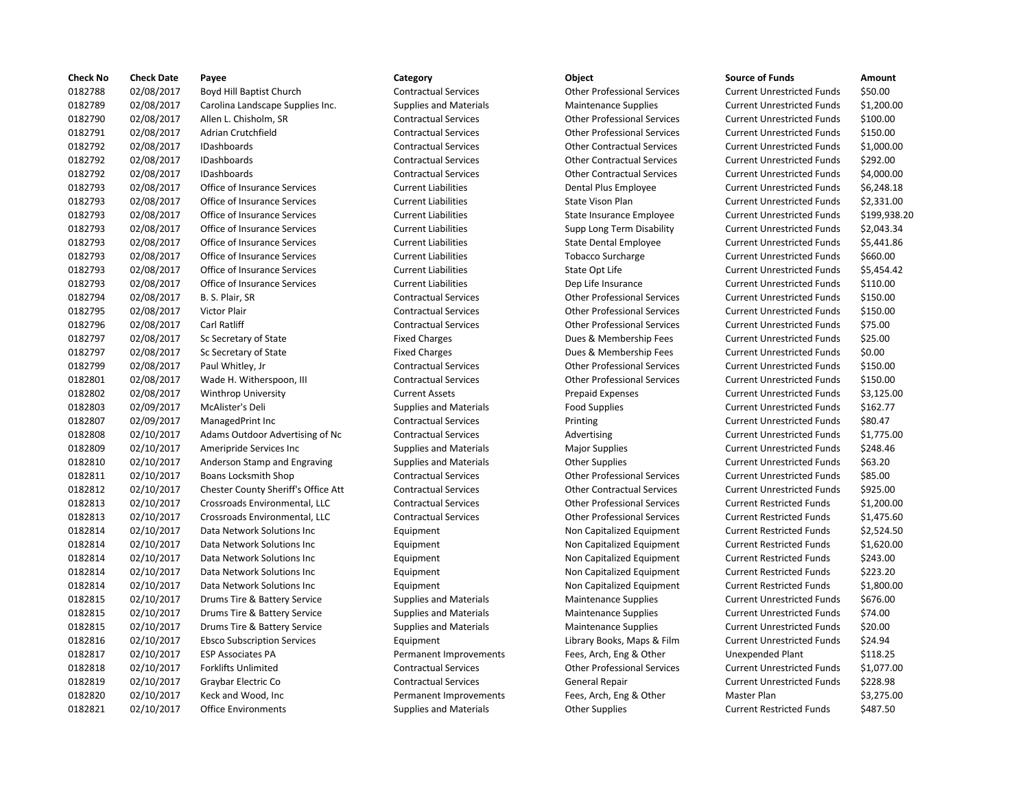| <b>Check No</b> | <b>Check Date</b> | Payee                               | Category                      | Object                             | <b>Source of Funds</b>            | Amount    |
|-----------------|-------------------|-------------------------------------|-------------------------------|------------------------------------|-----------------------------------|-----------|
| 0182788         | 02/08/2017        | Boyd Hill Baptist Church            | <b>Contractual Services</b>   | <b>Other Professional Services</b> | <b>Current Unrestricted Funds</b> | \$50.00   |
| 0182789         | 02/08/2017        | Carolina Landscape Supplies Inc.    | <b>Supplies and Materials</b> | <b>Maintenance Supplies</b>        | <b>Current Unrestricted Funds</b> | \$1,200.0 |
| 0182790         | 02/08/2017        | Allen L. Chisholm, SR               | <b>Contractual Services</b>   | <b>Other Professional Services</b> | <b>Current Unrestricted Funds</b> | \$100.00  |
| 0182791         | 02/08/2017        | Adrian Crutchfield                  | <b>Contractual Services</b>   | <b>Other Professional Services</b> | <b>Current Unrestricted Funds</b> | \$150.00  |
| 0182792         | 02/08/2017        | IDashboards                         | <b>Contractual Services</b>   | <b>Other Contractual Services</b>  | <b>Current Unrestricted Funds</b> | \$1,000.0 |
| 0182792         | 02/08/2017        | IDashboards                         | <b>Contractual Services</b>   | <b>Other Contractual Services</b>  | <b>Current Unrestricted Funds</b> | \$292.00  |
| 0182792         | 02/08/2017        | <b>IDashboards</b>                  | <b>Contractual Services</b>   | <b>Other Contractual Services</b>  | <b>Current Unrestricted Funds</b> | \$4,000.0 |
| 0182793         | 02/08/2017        | Office of Insurance Services        | <b>Current Liabilities</b>    | Dental Plus Employee               | <b>Current Unrestricted Funds</b> | \$6,248.1 |
| 0182793         | 02/08/2017        | Office of Insurance Services        | <b>Current Liabilities</b>    | State Vison Plan                   | <b>Current Unrestricted Funds</b> | \$2,331.0 |
| 0182793         | 02/08/2017        | Office of Insurance Services        | <b>Current Liabilities</b>    | State Insurance Employee           | <b>Current Unrestricted Funds</b> | \$199,93  |
| 0182793         | 02/08/2017        | Office of Insurance Services        | <b>Current Liabilities</b>    | Supp Long Term Disability          | <b>Current Unrestricted Funds</b> | \$2,043.3 |
| 0182793         | 02/08/2017        | Office of Insurance Services        | <b>Current Liabilities</b>    | State Dental Employee              | <b>Current Unrestricted Funds</b> | \$5,441.8 |
| 0182793         | 02/08/2017        | Office of Insurance Services        | <b>Current Liabilities</b>    | <b>Tobacco Surcharge</b>           | <b>Current Unrestricted Funds</b> | \$660.00  |
| 0182793         | 02/08/2017        | Office of Insurance Services        | <b>Current Liabilities</b>    | State Opt Life                     | <b>Current Unrestricted Funds</b> | \$5,454.4 |
| 0182793         | 02/08/2017        | Office of Insurance Services        | <b>Current Liabilities</b>    | Dep Life Insurance                 | <b>Current Unrestricted Funds</b> | \$110.00  |
| 0182794         | 02/08/2017        | B. S. Plair, SR                     | <b>Contractual Services</b>   | <b>Other Professional Services</b> | <b>Current Unrestricted Funds</b> | \$150.00  |
| 0182795         | 02/08/2017        | <b>Victor Plair</b>                 | <b>Contractual Services</b>   | <b>Other Professional Services</b> | <b>Current Unrestricted Funds</b> | \$150.00  |
| 0182796         | 02/08/2017        | Carl Ratliff                        | <b>Contractual Services</b>   | <b>Other Professional Services</b> | <b>Current Unrestricted Funds</b> | \$75.00   |
| 0182797         | 02/08/2017        | Sc Secretary of State               | <b>Fixed Charges</b>          | Dues & Membership Fees             | <b>Current Unrestricted Funds</b> | \$25.00   |
| 0182797         | 02/08/2017        | Sc Secretary of State               | <b>Fixed Charges</b>          | Dues & Membership Fees             | <b>Current Unrestricted Funds</b> | \$0.00    |
| 0182799         | 02/08/2017        | Paul Whitley, Jr                    | <b>Contractual Services</b>   | <b>Other Professional Services</b> | <b>Current Unrestricted Funds</b> | \$150.00  |
| 0182801         | 02/08/2017        | Wade H. Witherspoon, III            | <b>Contractual Services</b>   | <b>Other Professional Services</b> | <b>Current Unrestricted Funds</b> | \$150.00  |
| 0182802         | 02/08/2017        | <b>Winthrop University</b>          | <b>Current Assets</b>         | <b>Prepaid Expenses</b>            | <b>Current Unrestricted Funds</b> | \$3,125.0 |
| 0182803         | 02/09/2017        | McAlister's Deli                    | <b>Supplies and Materials</b> | <b>Food Supplies</b>               | <b>Current Unrestricted Funds</b> | \$162.77  |
| 0182807         | 02/09/2017        | ManagedPrint Inc                    | <b>Contractual Services</b>   | Printing                           | <b>Current Unrestricted Funds</b> | \$80.47   |
| 0182808         | 02/10/2017        | Adams Outdoor Advertising of Nc     | <b>Contractual Services</b>   | Advertising                        | <b>Current Unrestricted Funds</b> | \$1,775.0 |
| 0182809         | 02/10/2017        | Ameripride Services Inc             | <b>Supplies and Materials</b> | <b>Major Supplies</b>              | <b>Current Unrestricted Funds</b> | \$248.46  |
| 0182810         | 02/10/2017        | Anderson Stamp and Engraving        | <b>Supplies and Materials</b> | <b>Other Supplies</b>              | <b>Current Unrestricted Funds</b> | \$63.20   |
| 0182811         | 02/10/2017        | <b>Boans Locksmith Shop</b>         | <b>Contractual Services</b>   | <b>Other Professional Services</b> | <b>Current Unrestricted Funds</b> | \$85.00   |
| 0182812         | 02/10/2017        | Chester County Sheriff's Office Att | <b>Contractual Services</b>   | <b>Other Contractual Services</b>  | <b>Current Unrestricted Funds</b> | \$925.00  |
| 0182813         | 02/10/2017        | Crossroads Environmental, LLC       | <b>Contractual Services</b>   | <b>Other Professional Services</b> | <b>Current Restricted Funds</b>   | \$1,200.0 |
| 0182813         | 02/10/2017        | Crossroads Environmental, LLC       | <b>Contractual Services</b>   | <b>Other Professional Services</b> | <b>Current Restricted Funds</b>   | \$1,475.6 |
| 0182814         | 02/10/2017        | Data Network Solutions Inc          | Equipment                     | Non Capitalized Equipment          | <b>Current Restricted Funds</b>   | \$2,524.5 |
| 0182814         | 02/10/2017        | Data Network Solutions Inc          | Equipment                     | Non Capitalized Equipment          | <b>Current Restricted Funds</b>   | \$1,620.0 |
| 0182814         | 02/10/2017        | Data Network Solutions Inc          | Equipment                     | Non Capitalized Equipment          | <b>Current Restricted Funds</b>   | \$243.00  |
| 0182814         | 02/10/2017        | Data Network Solutions Inc          | Equipment                     | Non Capitalized Equipment          | <b>Current Restricted Funds</b>   | \$223.20  |
| 0182814         | 02/10/2017        | Data Network Solutions Inc          | Equipment                     | Non Capitalized Equipment          | <b>Current Restricted Funds</b>   | \$1,800.0 |
| 0182815         | 02/10/2017        | Drums Tire & Battery Service        | <b>Supplies and Materials</b> | <b>Maintenance Supplies</b>        | <b>Current Unrestricted Funds</b> | \$676.00  |
| 0182815         | 02/10/2017        | Drums Tire & Battery Service        | <b>Supplies and Materials</b> | <b>Maintenance Supplies</b>        | <b>Current Unrestricted Funds</b> | \$74.00   |
| 0182815         | 02/10/2017        | Drums Tire & Battery Service        | <b>Supplies and Materials</b> | <b>Maintenance Supplies</b>        | <b>Current Unrestricted Funds</b> | \$20.00   |
| 0182816         | 02/10/2017        | <b>Ebsco Subscription Services</b>  | Equipment                     | Library Books, Maps & Film         | <b>Current Unrestricted Funds</b> | \$24.94   |
| 0182817         | 02/10/2017        | <b>ESP Associates PA</b>            | Permanent Improvements        | Fees, Arch, Eng & Other            | Unexpended Plant                  | \$118.25  |
| 0182818         | 02/10/2017        | <b>Forklifts Unlimited</b>          | <b>Contractual Services</b>   | <b>Other Professional Services</b> | <b>Current Unrestricted Funds</b> | \$1,077.0 |
| 0182819         | 02/10/2017        | Graybar Electric Co                 | <b>Contractual Services</b>   | General Repair                     | <b>Current Unrestricted Funds</b> | \$228.98  |
| 0182820         | 02/10/2017        | Keck and Wood, Inc                  | Permanent Improvements        | Fees, Arch, Eng & Other            | Master Plan                       | \$3,275.0 |
| 0182821         | 02/10/2017        | <b>Office Environments</b>          | <b>Supplies and Materials</b> | <b>Other Supplies</b>              | <b>Current Restricted Funds</b>   | \$487.50  |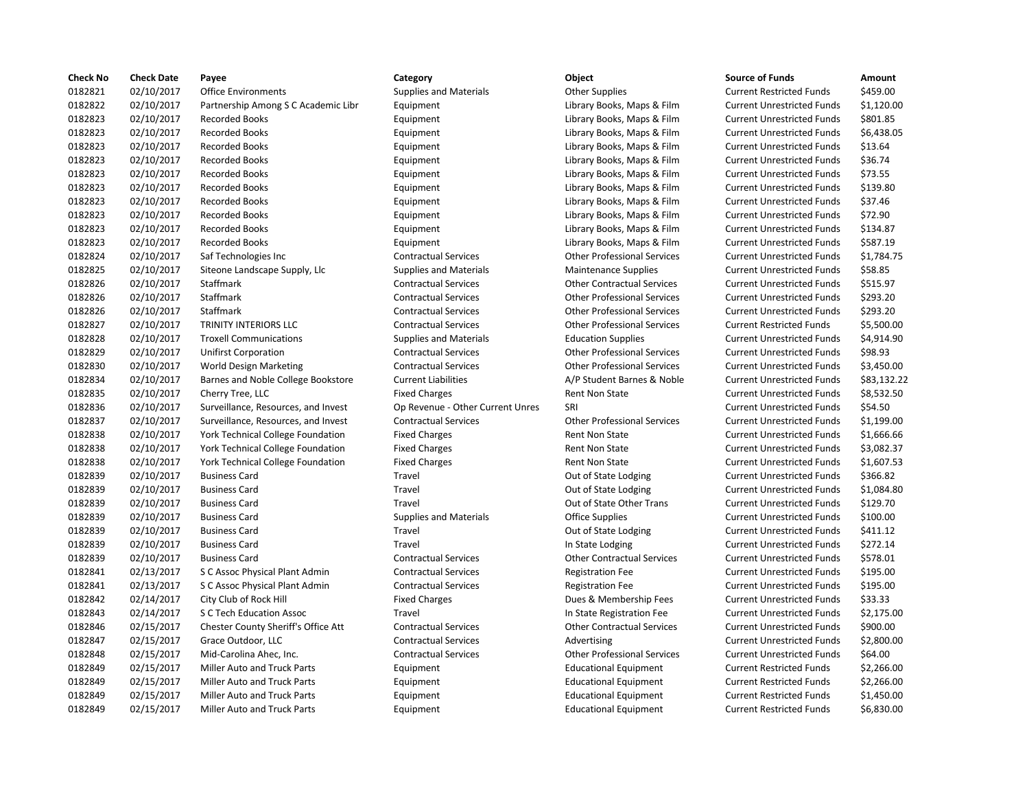| <b>Check No</b> | <b>Check Date</b> | Payee                               | Category                         | <b>Object</b>                      | <b>Source of Funds</b>            | Amount    |
|-----------------|-------------------|-------------------------------------|----------------------------------|------------------------------------|-----------------------------------|-----------|
| 0182821         | 02/10/2017        | <b>Office Environments</b>          | <b>Supplies and Materials</b>    | <b>Other Supplies</b>              | <b>Current Restricted Funds</b>   | \$459.00  |
| 0182822         | 02/10/2017        | Partnership Among S C Academic Libr | Equipment                        | Library Books, Maps & Film         | <b>Current Unrestricted Funds</b> | \$1,120.0 |
| 0182823         | 02/10/2017        | <b>Recorded Books</b>               | Equipment                        | Library Books, Maps & Film         | <b>Current Unrestricted Funds</b> | \$801.85  |
| 0182823         | 02/10/2017        | <b>Recorded Books</b>               | Equipment                        | Library Books, Maps & Film         | <b>Current Unrestricted Funds</b> | \$6,438.0 |
| 0182823         | 02/10/2017        | <b>Recorded Books</b>               | Equipment                        | Library Books, Maps & Film         | <b>Current Unrestricted Funds</b> | \$13.64   |
| 0182823         | 02/10/2017        | <b>Recorded Books</b>               | Equipment                        | Library Books, Maps & Film         | <b>Current Unrestricted Funds</b> | \$36.74   |
| 0182823         | 02/10/2017        | <b>Recorded Books</b>               | Equipment                        | Library Books, Maps & Film         | <b>Current Unrestricted Funds</b> | \$73.55   |
| 0182823         | 02/10/2017        | <b>Recorded Books</b>               | Equipment                        | Library Books, Maps & Film         | <b>Current Unrestricted Funds</b> | \$139.80  |
| 0182823         | 02/10/2017        | <b>Recorded Books</b>               | Equipment                        | Library Books, Maps & Film         | <b>Current Unrestricted Funds</b> | \$37.46   |
| 0182823         | 02/10/2017        | <b>Recorded Books</b>               | Equipment                        | Library Books, Maps & Film         | <b>Current Unrestricted Funds</b> | \$72.90   |
| 0182823         | 02/10/2017        | <b>Recorded Books</b>               | Equipment                        | Library Books, Maps & Film         | <b>Current Unrestricted Funds</b> | \$134.87  |
| 0182823         | 02/10/2017        | <b>Recorded Books</b>               | Equipment                        | Library Books, Maps & Film         | <b>Current Unrestricted Funds</b> | \$587.19  |
| 0182824         | 02/10/2017        | Saf Technologies Inc                | <b>Contractual Services</b>      | <b>Other Professional Services</b> | <b>Current Unrestricted Funds</b> | \$1,784.7 |
| 0182825         | 02/10/2017        | Siteone Landscape Supply, Llc       | <b>Supplies and Materials</b>    | <b>Maintenance Supplies</b>        | <b>Current Unrestricted Funds</b> | \$58.85   |
| 0182826         | 02/10/2017        | Staffmark                           | <b>Contractual Services</b>      | <b>Other Contractual Services</b>  | <b>Current Unrestricted Funds</b> | \$515.97  |
| 0182826         | 02/10/2017        | Staffmark                           | <b>Contractual Services</b>      | <b>Other Professional Services</b> | <b>Current Unrestricted Funds</b> | \$293.20  |
| 0182826         | 02/10/2017        | Staffmark                           | <b>Contractual Services</b>      | <b>Other Professional Services</b> | <b>Current Unrestricted Funds</b> | \$293.20  |
| 0182827         | 02/10/2017        | <b>TRINITY INTERIORS LLC</b>        | <b>Contractual Services</b>      | <b>Other Professional Services</b> | <b>Current Restricted Funds</b>   | \$5,500.0 |
| 0182828         | 02/10/2017        | <b>Troxell Communications</b>       | <b>Supplies and Materials</b>    | <b>Education Supplies</b>          | <b>Current Unrestricted Funds</b> | \$4,914.9 |
| 0182829         | 02/10/2017        | <b>Unifirst Corporation</b>         | <b>Contractual Services</b>      | <b>Other Professional Services</b> | <b>Current Unrestricted Funds</b> | \$98.93   |
| 0182830         | 02/10/2017        | World Design Marketing              | <b>Contractual Services</b>      | <b>Other Professional Services</b> | <b>Current Unrestricted Funds</b> | \$3,450.0 |
| 0182834         | 02/10/2017        | Barnes and Noble College Bookstore  | <b>Current Liabilities</b>       | A/P Student Barnes & Noble         | <b>Current Unrestricted Funds</b> | \$83,132  |
| 0182835         | 02/10/2017        | Cherry Tree, LLC                    | <b>Fixed Charges</b>             | <b>Rent Non State</b>              | <b>Current Unrestricted Funds</b> | \$8,532.5 |
| 0182836         | 02/10/2017        | Surveillance, Resources, and Invest | Op Revenue - Other Current Unres | SRI                                | <b>Current Unrestricted Funds</b> | \$54.50   |
| 0182837         | 02/10/2017        | Surveillance, Resources, and Invest | <b>Contractual Services</b>      | <b>Other Professional Services</b> | <b>Current Unrestricted Funds</b> | \$1,199.0 |
| 0182838         | 02/10/2017        | York Technical College Foundation   | <b>Fixed Charges</b>             | Rent Non State                     | <b>Current Unrestricted Funds</b> | \$1,666.6 |
| 0182838         | 02/10/2017        | York Technical College Foundation   | <b>Fixed Charges</b>             | Rent Non State                     | <b>Current Unrestricted Funds</b> | \$3,082.3 |
| 0182838         | 02/10/2017        | York Technical College Foundation   | <b>Fixed Charges</b>             | Rent Non State                     | <b>Current Unrestricted Funds</b> | \$1,607.5 |
| 0182839         | 02/10/2017        | <b>Business Card</b>                | Travel                           | Out of State Lodging               | <b>Current Unrestricted Funds</b> | \$366.82  |
| 0182839         | 02/10/2017        | <b>Business Card</b>                | Travel                           | Out of State Lodging               | <b>Current Unrestricted Funds</b> | \$1,084.8 |
| 0182839         | 02/10/2017        | <b>Business Card</b>                | Travel                           | Out of State Other Trans           | <b>Current Unrestricted Funds</b> | \$129.70  |
| 0182839         | 02/10/2017        | <b>Business Card</b>                | <b>Supplies and Materials</b>    | <b>Office Supplies</b>             | <b>Current Unrestricted Funds</b> | \$100.00  |
| 0182839         | 02/10/2017        | <b>Business Card</b>                | Travel                           | Out of State Lodging               | <b>Current Unrestricted Funds</b> | \$411.12  |
| 0182839         | 02/10/2017        | <b>Business Card</b>                | Travel                           | In State Lodging                   | <b>Current Unrestricted Funds</b> | \$272.14  |
| 0182839         | 02/10/2017        | <b>Business Card</b>                | <b>Contractual Services</b>      | <b>Other Contractual Services</b>  | <b>Current Unrestricted Funds</b> | \$578.01  |
| 0182841         | 02/13/2017        | S C Assoc Physical Plant Admin      | <b>Contractual Services</b>      | <b>Registration Fee</b>            | <b>Current Unrestricted Funds</b> | \$195.00  |
| 0182841         | 02/13/2017        | S C Assoc Physical Plant Admin      | <b>Contractual Services</b>      | <b>Registration Fee</b>            | <b>Current Unrestricted Funds</b> | \$195.00  |
| 0182842         | 02/14/2017        | City Club of Rock Hill              | <b>Fixed Charges</b>             | Dues & Membership Fees             | <b>Current Unrestricted Funds</b> | \$33.33   |
| 0182843         | 02/14/2017        | S C Tech Education Assoc            | Travel                           | In State Registration Fee          | <b>Current Unrestricted Funds</b> | \$2,175.0 |
| 0182846         | 02/15/2017        | Chester County Sheriff's Office Att | <b>Contractual Services</b>      | <b>Other Contractual Services</b>  | <b>Current Unrestricted Funds</b> | \$900.00  |
| 0182847         | 02/15/2017        | Grace Outdoor, LLC                  | <b>Contractual Services</b>      | Advertising                        | <b>Current Unrestricted Funds</b> | \$2,800.0 |
| 0182848         | 02/15/2017        | Mid-Carolina Ahec, Inc.             | <b>Contractual Services</b>      | <b>Other Professional Services</b> | <b>Current Unrestricted Funds</b> | \$64.00   |
| 0182849         | 02/15/2017        | <b>Miller Auto and Truck Parts</b>  | Equipment                        | <b>Educational Equipment</b>       | <b>Current Restricted Funds</b>   | \$2,266.0 |
| 0182849         | 02/15/2017        | <b>Miller Auto and Truck Parts</b>  | Equipment                        | <b>Educational Equipment</b>       | <b>Current Restricted Funds</b>   | \$2,266.0 |
| 0182849         | 02/15/2017        | <b>Miller Auto and Truck Parts</b>  | Equipment                        | <b>Educational Equipment</b>       | <b>Current Restricted Funds</b>   | \$1,450.0 |
| 0182849         | 02/15/2017        | <b>Miller Auto and Truck Parts</b>  | Equipment                        | <b>Educational Equipment</b>       | <b>Current Restricted Funds</b>   | \$6,830.0 |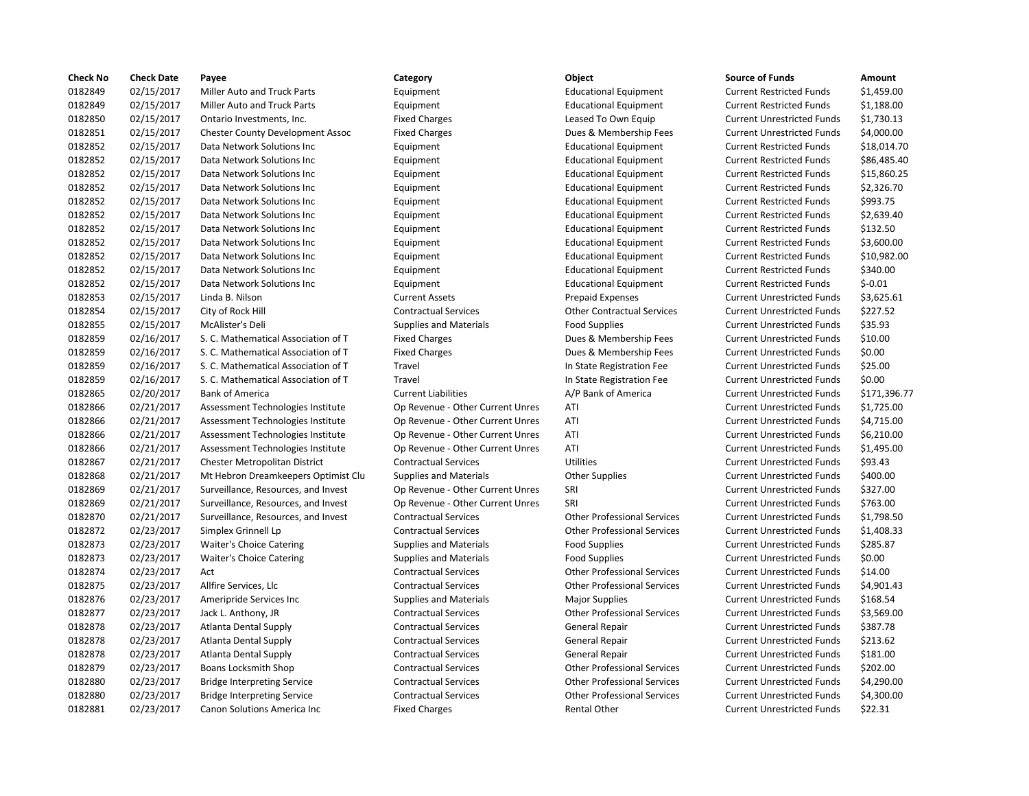| <b>Check No</b> | <b>Check Date</b> | Payee                                   | Category                         | Object                             | <b>Source of Funds</b>            | Amount     |
|-----------------|-------------------|-----------------------------------------|----------------------------------|------------------------------------|-----------------------------------|------------|
| 0182849         | 02/15/2017        | Miller Auto and Truck Parts             | Equipment                        | <b>Educational Equipment</b>       | <b>Current Restricted Funds</b>   | \$1,459.00 |
| 0182849         | 02/15/2017        | Miller Auto and Truck Parts             | Equipment                        | <b>Educational Equipment</b>       | <b>Current Restricted Funds</b>   | \$1,188.00 |
| 0182850         | 02/15/2017        | Ontario Investments, Inc.               | <b>Fixed Charges</b>             | Leased To Own Equip                | <b>Current Unrestricted Funds</b> | \$1,730.13 |
| 0182851         | 02/15/2017        | <b>Chester County Development Assoc</b> | <b>Fixed Charges</b>             | Dues & Membership Fees             | <b>Current Unrestricted Funds</b> | \$4,000.00 |
| 0182852         | 02/15/2017        | Data Network Solutions Inc              | Equipment                        | <b>Educational Equipment</b>       | <b>Current Restricted Funds</b>   | \$18,014.7 |
| 0182852         | 02/15/2017        | Data Network Solutions Inc              | Equipment                        | <b>Educational Equipment</b>       | <b>Current Restricted Funds</b>   | \$86,485.4 |
| 0182852         | 02/15/2017        | Data Network Solutions Inc              | Equipment                        | <b>Educational Equipment</b>       | <b>Current Restricted Funds</b>   | \$15,860.2 |
| 0182852         | 02/15/2017        | Data Network Solutions Inc              | Equipment                        | <b>Educational Equipment</b>       | <b>Current Restricted Funds</b>   | \$2,326.70 |
| 0182852         | 02/15/2017        | Data Network Solutions Inc              | Equipment                        | <b>Educational Equipment</b>       | <b>Current Restricted Funds</b>   | \$993.75   |
| 0182852         | 02/15/2017        | Data Network Solutions Inc              | Equipment                        | <b>Educational Equipment</b>       | <b>Current Restricted Funds</b>   | \$2,639.40 |
| 0182852         | 02/15/2017        | Data Network Solutions Inc              | Equipment                        | <b>Educational Equipment</b>       | <b>Current Restricted Funds</b>   | \$132.50   |
| 0182852         | 02/15/2017        | Data Network Solutions Inc              | Equipment                        | <b>Educational Equipment</b>       | <b>Current Restricted Funds</b>   | \$3,600.00 |
| 0182852         | 02/15/2017        | Data Network Solutions Inc              | Equipment                        | <b>Educational Equipment</b>       | <b>Current Restricted Funds</b>   | \$10,982.0 |
| 0182852         | 02/15/2017        | Data Network Solutions Inc              | Equipment                        | <b>Educational Equipment</b>       | <b>Current Restricted Funds</b>   | \$340.00   |
| 0182852         | 02/15/2017        | Data Network Solutions Inc              | Equipment                        | <b>Educational Equipment</b>       | <b>Current Restricted Funds</b>   | $$-0.01$   |
| 0182853         | 02/15/2017        | Linda B. Nilson                         | <b>Current Assets</b>            | <b>Prepaid Expenses</b>            | <b>Current Unrestricted Funds</b> | \$3,625.61 |
| 0182854         | 02/15/2017        | City of Rock Hill                       | <b>Contractual Services</b>      | <b>Other Contractual Services</b>  | <b>Current Unrestricted Funds</b> | \$227.52   |
| 0182855         | 02/15/2017        | McAlister's Deli                        | <b>Supplies and Materials</b>    | <b>Food Supplies</b>               | <b>Current Unrestricted Funds</b> | \$35.93    |
| 0182859         | 02/16/2017        | S. C. Mathematical Association of T     | <b>Fixed Charges</b>             | Dues & Membership Fees             | <b>Current Unrestricted Funds</b> | \$10.00    |
| 0182859         | 02/16/2017        | S. C. Mathematical Association of T     | <b>Fixed Charges</b>             | Dues & Membership Fees             | <b>Current Unrestricted Funds</b> | \$0.00     |
| 0182859         | 02/16/2017        | S. C. Mathematical Association of T     | Travel                           | In State Registration Fee          | <b>Current Unrestricted Funds</b> | \$25.00    |
| 0182859         | 02/16/2017        | S. C. Mathematical Association of T     | Travel                           | In State Registration Fee          | <b>Current Unrestricted Funds</b> | \$0.00     |
| 0182865         | 02/20/2017        | <b>Bank of America</b>                  | <b>Current Liabilities</b>       | A/P Bank of America                | <b>Current Unrestricted Funds</b> | \$171,396. |
| 0182866         | 02/21/2017        | Assessment Technologies Institute       | Op Revenue - Other Current Unres | ATI                                | <b>Current Unrestricted Funds</b> | \$1,725.00 |
| 0182866         | 02/21/2017        | Assessment Technologies Institute       | Op Revenue - Other Current Unres | ATI                                | <b>Current Unrestricted Funds</b> | \$4,715.00 |
| 0182866         | 02/21/2017        | Assessment Technologies Institute       | Op Revenue - Other Current Unres | ATI                                | <b>Current Unrestricted Funds</b> | \$6,210.00 |
| 0182866         | 02/21/2017        | Assessment Technologies Institute       | Op Revenue - Other Current Unres | ATI                                | <b>Current Unrestricted Funds</b> | \$1,495.00 |
| 0182867         | 02/21/2017        | Chester Metropolitan District           | <b>Contractual Services</b>      | <b>Utilities</b>                   | <b>Current Unrestricted Funds</b> | \$93.43    |
| 0182868         | 02/21/2017        | Mt Hebron Dreamkeepers Optimist Clu     | <b>Supplies and Materials</b>    | <b>Other Supplies</b>              | <b>Current Unrestricted Funds</b> | \$400.00   |
| 0182869         | 02/21/2017        | Surveillance, Resources, and Invest     | Op Revenue - Other Current Unres | SRI                                | <b>Current Unrestricted Funds</b> | \$327.00   |
| 0182869         | 02/21/2017        | Surveillance, Resources, and Invest     | Op Revenue - Other Current Unres | SRI                                | <b>Current Unrestricted Funds</b> | \$763.00   |
| 0182870         | 02/21/2017        | Surveillance, Resources, and Invest     | <b>Contractual Services</b>      | <b>Other Professional Services</b> | <b>Current Unrestricted Funds</b> | \$1,798.50 |
| 0182872         | 02/23/2017        | Simplex Grinnell Lp                     | <b>Contractual Services</b>      | <b>Other Professional Services</b> | <b>Current Unrestricted Funds</b> | \$1,408.33 |
| 0182873         | 02/23/2017        | <b>Waiter's Choice Catering</b>         | <b>Supplies and Materials</b>    | <b>Food Supplies</b>               | <b>Current Unrestricted Funds</b> | \$285.87   |
| 0182873         | 02/23/2017        | Waiter's Choice Catering                | <b>Supplies and Materials</b>    | <b>Food Supplies</b>               | <b>Current Unrestricted Funds</b> | \$0.00     |
| 0182874         | 02/23/2017        | Act                                     | <b>Contractual Services</b>      | <b>Other Professional Services</b> | <b>Current Unrestricted Funds</b> | \$14.00    |
| 0182875         | 02/23/2017        | Allfire Services, Llc                   | <b>Contractual Services</b>      | <b>Other Professional Services</b> | <b>Current Unrestricted Funds</b> | \$4,901.43 |
| 0182876         | 02/23/2017        | Ameripride Services Inc                 | <b>Supplies and Materials</b>    | <b>Major Supplies</b>              | <b>Current Unrestricted Funds</b> | \$168.54   |
| 0182877         | 02/23/2017        | Jack L. Anthony, JR                     | <b>Contractual Services</b>      | <b>Other Professional Services</b> | <b>Current Unrestricted Funds</b> | \$3,569.00 |
| 0182878         | 02/23/2017        | Atlanta Dental Supply                   | <b>Contractual Services</b>      | General Repair                     | <b>Current Unrestricted Funds</b> | \$387.78   |
| 0182878         | 02/23/2017        | Atlanta Dental Supply                   | <b>Contractual Services</b>      | General Repair                     | <b>Current Unrestricted Funds</b> | \$213.62   |
| 0182878         | 02/23/2017        | <b>Atlanta Dental Supply</b>            | <b>Contractual Services</b>      | General Repair                     | <b>Current Unrestricted Funds</b> | \$181.00   |
| 0182879         | 02/23/2017        | Boans Locksmith Shop                    | <b>Contractual Services</b>      | <b>Other Professional Services</b> | <b>Current Unrestricted Funds</b> | \$202.00   |
| 0182880         | 02/23/2017        | <b>Bridge Interpreting Service</b>      | <b>Contractual Services</b>      | <b>Other Professional Services</b> | <b>Current Unrestricted Funds</b> | \$4,290.00 |
| 0182880         | 02/23/2017        | <b>Bridge Interpreting Service</b>      | <b>Contractual Services</b>      | <b>Other Professional Services</b> | <b>Current Unrestricted Funds</b> | \$4,300.00 |
| 0182881         | 02/23/2017        | Canon Solutions America Inc             | <b>Fixed Charges</b>             | Rental Other                       | <b>Current Unrestricted Funds</b> | \$22.31    |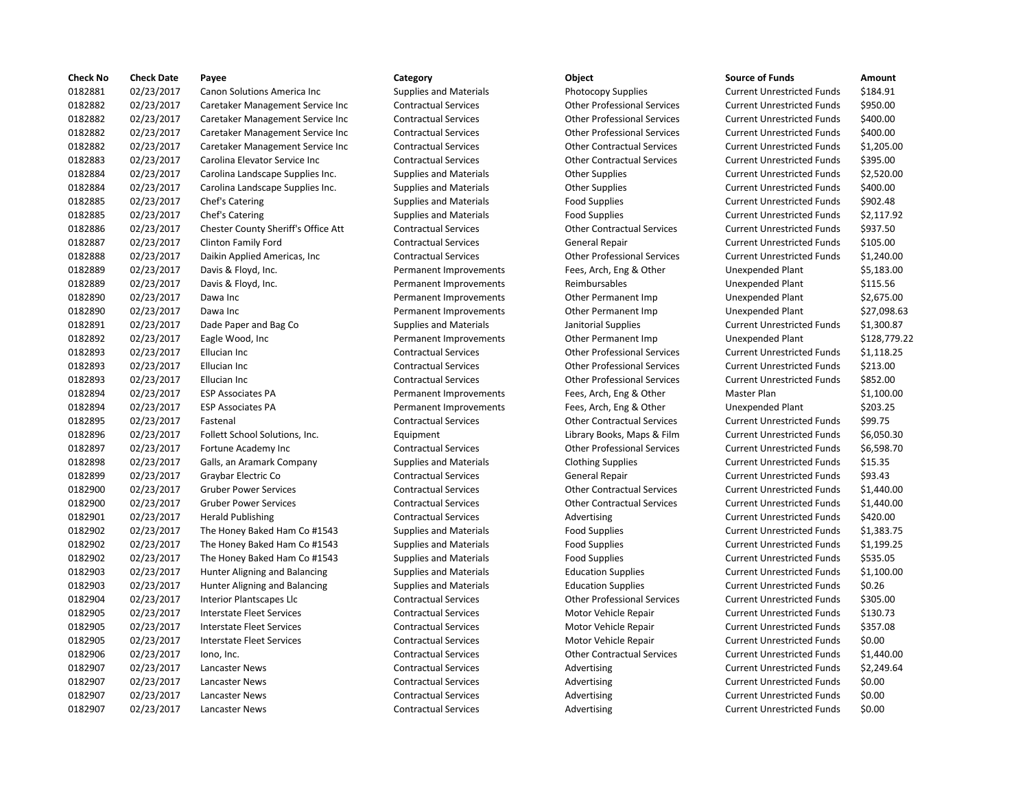| <b>Check No</b> | <b>Check Date</b> | Payee                               | Category                      | <b>Object</b>                      | <b>Source of Funds</b>            | Amount    |
|-----------------|-------------------|-------------------------------------|-------------------------------|------------------------------------|-----------------------------------|-----------|
| 0182881         | 02/23/2017        | Canon Solutions America Inc         | <b>Supplies and Materials</b> | <b>Photocopy Supplies</b>          | <b>Current Unrestricted Funds</b> | \$184.91  |
| 0182882         | 02/23/2017        | Caretaker Management Service Inc    | <b>Contractual Services</b>   | <b>Other Professional Services</b> | <b>Current Unrestricted Funds</b> | \$950.00  |
| 0182882         | 02/23/2017        | Caretaker Management Service Inc    | <b>Contractual Services</b>   | <b>Other Professional Services</b> | <b>Current Unrestricted Funds</b> | \$400.00  |
| 0182882         | 02/23/2017        | Caretaker Management Service Inc    | <b>Contractual Services</b>   | <b>Other Professional Services</b> | <b>Current Unrestricted Funds</b> | \$400.00  |
| 0182882         | 02/23/2017        | Caretaker Management Service Inc    | <b>Contractual Services</b>   | <b>Other Contractual Services</b>  | <b>Current Unrestricted Funds</b> | \$1,205.0 |
| 0182883         | 02/23/2017        | Carolina Elevator Service Inc       | <b>Contractual Services</b>   | <b>Other Contractual Services</b>  | <b>Current Unrestricted Funds</b> | \$395.00  |
| 0182884         | 02/23/2017        | Carolina Landscape Supplies Inc.    | <b>Supplies and Materials</b> | <b>Other Supplies</b>              | <b>Current Unrestricted Funds</b> | \$2,520.0 |
| 0182884         | 02/23/2017        | Carolina Landscape Supplies Inc.    | <b>Supplies and Materials</b> | <b>Other Supplies</b>              | <b>Current Unrestricted Funds</b> | \$400.00  |
| 0182885         | 02/23/2017        | Chef's Catering                     | <b>Supplies and Materials</b> | <b>Food Supplies</b>               | <b>Current Unrestricted Funds</b> | \$902.48  |
| 0182885         | 02/23/2017        | Chef's Catering                     | <b>Supplies and Materials</b> | <b>Food Supplies</b>               | <b>Current Unrestricted Funds</b> | \$2,117.9 |
| 0182886         | 02/23/2017        | Chester County Sheriff's Office Att | <b>Contractual Services</b>   | <b>Other Contractual Services</b>  | <b>Current Unrestricted Funds</b> | \$937.50  |
| 0182887         | 02/23/2017        | Clinton Family Ford                 | <b>Contractual Services</b>   | General Repair                     | <b>Current Unrestricted Funds</b> | \$105.00  |
| 0182888         | 02/23/2017        | Daikin Applied Americas, Inc        | <b>Contractual Services</b>   | <b>Other Professional Services</b> | <b>Current Unrestricted Funds</b> | \$1,240.0 |
| 0182889         | 02/23/2017        | Davis & Floyd, Inc.                 | Permanent Improvements        | Fees, Arch, Eng & Other            | <b>Unexpended Plant</b>           | \$5,183.0 |
| 0182889         | 02/23/2017        | Davis & Floyd, Inc.                 | Permanent Improvements        | Reimbursables                      | Unexpended Plant                  | \$115.56  |
| 0182890         | 02/23/2017        | Dawa Inc                            | Permanent Improvements        | Other Permanent Imp                | Unexpended Plant                  | \$2,675.0 |
| 0182890         | 02/23/2017        | Dawa Inc                            | Permanent Improvements        | Other Permanent Imp                | Unexpended Plant                  | \$27,098  |
| 0182891         | 02/23/2017        | Dade Paper and Bag Co               | <b>Supplies and Materials</b> | Janitorial Supplies                | <b>Current Unrestricted Funds</b> | \$1,300.8 |
| 0182892         | 02/23/2017        | Eagle Wood, Inc                     | Permanent Improvements        | Other Permanent Imp                | <b>Unexpended Plant</b>           | \$128,77  |
| 0182893         | 02/23/2017        | Ellucian Inc                        | <b>Contractual Services</b>   | <b>Other Professional Services</b> | <b>Current Unrestricted Funds</b> | \$1,118.2 |
| 0182893         | 02/23/2017        | Ellucian Inc                        | <b>Contractual Services</b>   | <b>Other Professional Services</b> | <b>Current Unrestricted Funds</b> | \$213.00  |
| 0182893         | 02/23/2017        | Ellucian Inc                        | <b>Contractual Services</b>   | <b>Other Professional Services</b> | <b>Current Unrestricted Funds</b> | \$852.00  |
| 0182894         | 02/23/2017        | <b>ESP Associates PA</b>            | Permanent Improvements        | Fees, Arch, Eng & Other            | Master Plan                       | \$1,100.0 |
| 0182894         | 02/23/2017        | <b>ESP Associates PA</b>            | Permanent Improvements        | Fees, Arch, Eng & Other            | <b>Unexpended Plant</b>           | \$203.25  |
| 0182895         | 02/23/2017        | Fastenal                            | <b>Contractual Services</b>   | <b>Other Contractual Services</b>  | <b>Current Unrestricted Funds</b> | \$99.75   |
| 0182896         | 02/23/2017        | Follett School Solutions, Inc.      | Equipment                     | Library Books, Maps & Film         | <b>Current Unrestricted Funds</b> | \$6,050.3 |
| 0182897         | 02/23/2017        | Fortune Academy Inc                 | <b>Contractual Services</b>   | <b>Other Professional Services</b> | <b>Current Unrestricted Funds</b> | \$6,598.7 |
| 0182898         | 02/23/2017        | Galls, an Aramark Company           | <b>Supplies and Materials</b> | <b>Clothing Supplies</b>           | <b>Current Unrestricted Funds</b> | \$15.35   |
| 0182899         | 02/23/2017        | Graybar Electric Co                 | <b>Contractual Services</b>   | General Repair                     | <b>Current Unrestricted Funds</b> | \$93.43   |
| 0182900         | 02/23/2017        | <b>Gruber Power Services</b>        | <b>Contractual Services</b>   | <b>Other Contractual Services</b>  | <b>Current Unrestricted Funds</b> | \$1,440.0 |
| 0182900         | 02/23/2017        | <b>Gruber Power Services</b>        | <b>Contractual Services</b>   | <b>Other Contractual Services</b>  | <b>Current Unrestricted Funds</b> | \$1,440.0 |
| 0182901         | 02/23/2017        | <b>Herald Publishing</b>            | <b>Contractual Services</b>   | Advertising                        | <b>Current Unrestricted Funds</b> | \$420.00  |
| 0182902         | 02/23/2017        | The Honey Baked Ham Co #1543        | <b>Supplies and Materials</b> | <b>Food Supplies</b>               | <b>Current Unrestricted Funds</b> | \$1,383.7 |
| 0182902         | 02/23/2017        | The Honey Baked Ham Co #1543        | <b>Supplies and Materials</b> | <b>Food Supplies</b>               | <b>Current Unrestricted Funds</b> | \$1,199.2 |
| 0182902         | 02/23/2017        | The Honey Baked Ham Co #1543        | <b>Supplies and Materials</b> | <b>Food Supplies</b>               | <b>Current Unrestricted Funds</b> | \$535.05  |
| 0182903         | 02/23/2017        | Hunter Aligning and Balancing       | <b>Supplies and Materials</b> | <b>Education Supplies</b>          | <b>Current Unrestricted Funds</b> | \$1,100.0 |
| 0182903         | 02/23/2017        | Hunter Aligning and Balancing       | <b>Supplies and Materials</b> | <b>Education Supplies</b>          | <b>Current Unrestricted Funds</b> | \$0.26    |
| 0182904         | 02/23/2017        | Interior Plantscapes Llc            | <b>Contractual Services</b>   | <b>Other Professional Services</b> | <b>Current Unrestricted Funds</b> | \$305.00  |
| 0182905         | 02/23/2017        | Interstate Fleet Services           | <b>Contractual Services</b>   | Motor Vehicle Repair               | <b>Current Unrestricted Funds</b> | \$130.73  |
| 0182905         | 02/23/2017        | <b>Interstate Fleet Services</b>    | <b>Contractual Services</b>   | Motor Vehicle Repair               | <b>Current Unrestricted Funds</b> | \$357.08  |
| 0182905         | 02/23/2017        | <b>Interstate Fleet Services</b>    | <b>Contractual Services</b>   | Motor Vehicle Repair               | <b>Current Unrestricted Funds</b> | \$0.00    |
| 0182906         | 02/23/2017        | lono, Inc.                          | <b>Contractual Services</b>   | <b>Other Contractual Services</b>  | <b>Current Unrestricted Funds</b> | \$1,440.0 |
| 0182907         | 02/23/2017        | <b>Lancaster News</b>               | <b>Contractual Services</b>   | Advertising                        | <b>Current Unrestricted Funds</b> | \$2,249.6 |
| 0182907         | 02/23/2017        | Lancaster News                      | <b>Contractual Services</b>   | Advertising                        | <b>Current Unrestricted Funds</b> | \$0.00    |
| 0182907         | 02/23/2017        | Lancaster News                      | <b>Contractual Services</b>   | Advertising                        | <b>Current Unrestricted Funds</b> | \$0.00    |
| 0182907         | 02/23/2017        | Lancaster News                      | <b>Contractual Services</b>   | Advertising                        | <b>Current Unrestricted Funds</b> | \$0.00    |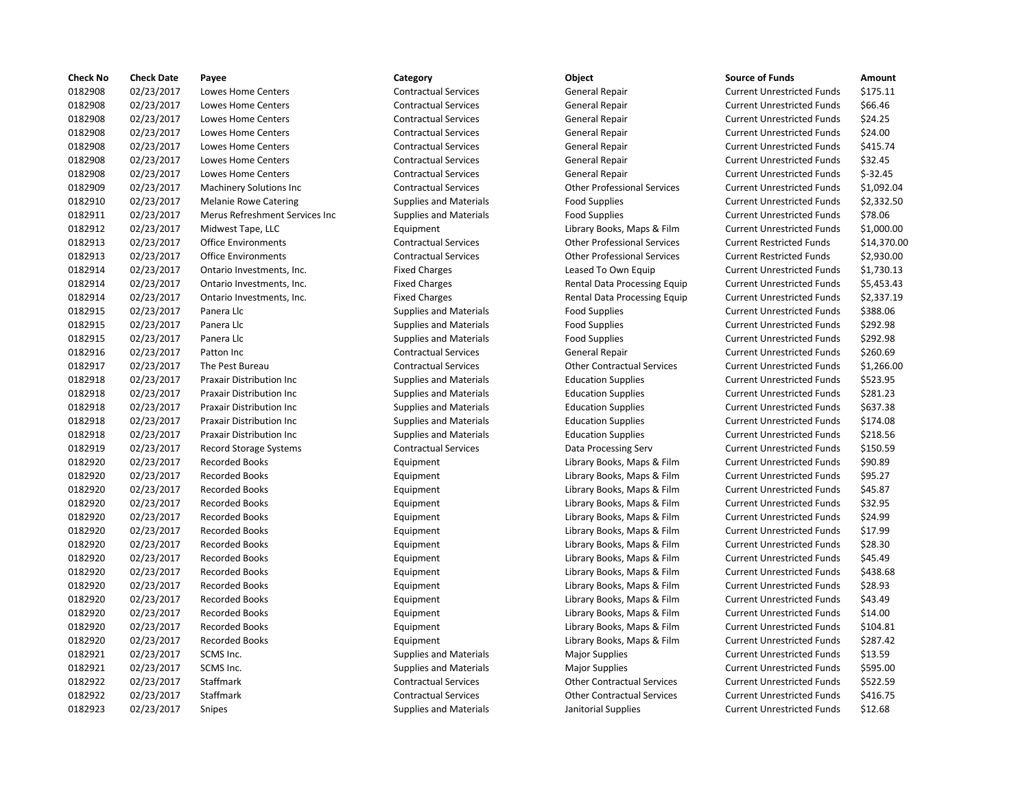| <b>Check No</b> | <b>Check Date</b> | Payee                            | Category                      | Object                             | <b>Source of Funds</b>            | Amount    |
|-----------------|-------------------|----------------------------------|-------------------------------|------------------------------------|-----------------------------------|-----------|
| 0182908         | 02/23/2017        | Lowes Home Centers               | <b>Contractual Services</b>   | General Repair                     | <b>Current Unrestricted Funds</b> | \$175.11  |
| 0182908         | 02/23/2017        | Lowes Home Centers               | <b>Contractual Services</b>   | <b>General Repair</b>              | <b>Current Unrestricted Funds</b> | \$66.46   |
| 0182908         | 02/23/2017        | Lowes Home Centers               | <b>Contractual Services</b>   | General Repair                     | <b>Current Unrestricted Funds</b> | \$24.25   |
| 0182908         | 02/23/2017        | Lowes Home Centers               | <b>Contractual Services</b>   | General Repair                     | <b>Current Unrestricted Funds</b> | \$24.00   |
| 0182908         | 02/23/2017        | Lowes Home Centers               | <b>Contractual Services</b>   | General Repair                     | <b>Current Unrestricted Funds</b> | \$415.74  |
| 0182908         | 02/23/2017        | Lowes Home Centers               | <b>Contractual Services</b>   | General Repair                     | <b>Current Unrestricted Funds</b> | \$32.45   |
| 0182908         | 02/23/2017        | Lowes Home Centers               | <b>Contractual Services</b>   | General Repair                     | <b>Current Unrestricted Funds</b> | $$-32.45$ |
| 0182909         | 02/23/2017        | Machinery Solutions Inc          | <b>Contractual Services</b>   | <b>Other Professional Services</b> | <b>Current Unrestricted Funds</b> | \$1,092.0 |
| 0182910         | 02/23/2017        | <b>Melanie Rowe Catering</b>     | <b>Supplies and Materials</b> | <b>Food Supplies</b>               | <b>Current Unrestricted Funds</b> | \$2,332.5 |
| 0182911         | 02/23/2017        | Merus Refreshment Services Inc   | <b>Supplies and Materials</b> | <b>Food Supplies</b>               | <b>Current Unrestricted Funds</b> | \$78.06   |
| 0182912         | 02/23/2017        | Midwest Tape, LLC                | Equipment                     | Library Books, Maps & Film         | <b>Current Unrestricted Funds</b> | \$1,000.0 |
| 0182913         | 02/23/2017        | <b>Office Environments</b>       | <b>Contractual Services</b>   | <b>Other Professional Services</b> | <b>Current Restricted Funds</b>   | \$14,370  |
| 0182913         | 02/23/2017        | <b>Office Environments</b>       | <b>Contractual Services</b>   | <b>Other Professional Services</b> | <b>Current Restricted Funds</b>   | \$2,930.0 |
| 0182914         | 02/23/2017        | Ontario Investments, Inc.        | <b>Fixed Charges</b>          | Leased To Own Equip                | <b>Current Unrestricted Funds</b> | \$1,730.1 |
| 0182914         | 02/23/2017        | Ontario Investments, Inc.        | <b>Fixed Charges</b>          | Rental Data Processing Equip       | <b>Current Unrestricted Funds</b> | \$5,453.4 |
| 0182914         | 02/23/2017        | Ontario Investments, Inc.        | <b>Fixed Charges</b>          | Rental Data Processing Equip       | <b>Current Unrestricted Funds</b> | \$2,337.1 |
| 0182915         | 02/23/2017        | Panera Llc                       | <b>Supplies and Materials</b> | <b>Food Supplies</b>               | <b>Current Unrestricted Funds</b> | \$388.06  |
| 0182915         | 02/23/2017        | Panera Llc                       | <b>Supplies and Materials</b> | <b>Food Supplies</b>               | <b>Current Unrestricted Funds</b> | \$292.98  |
| 0182915         | 02/23/2017        | Panera Llc                       | <b>Supplies and Materials</b> | <b>Food Supplies</b>               | <b>Current Unrestricted Funds</b> | \$292.98  |
| 0182916         | 02/23/2017        | Patton Inc                       | <b>Contractual Services</b>   | <b>General Repair</b>              | <b>Current Unrestricted Funds</b> | \$260.69  |
| 0182917         | 02/23/2017        | The Pest Bureau                  | <b>Contractual Services</b>   | <b>Other Contractual Services</b>  | <b>Current Unrestricted Funds</b> | \$1,266.0 |
| 0182918         | 02/23/2017        | Praxair Distribution Inc         | <b>Supplies and Materials</b> | <b>Education Supplies</b>          | <b>Current Unrestricted Funds</b> | \$523.95  |
| 0182918         | 02/23/2017        | <b>Praxair Distribution Inc</b>  | <b>Supplies and Materials</b> | <b>Education Supplies</b>          | <b>Current Unrestricted Funds</b> | \$281.23  |
| 0182918         | 02/23/2017        | <b>Praxair Distribution Inc.</b> | <b>Supplies and Materials</b> | <b>Education Supplies</b>          | <b>Current Unrestricted Funds</b> | \$637.38  |
| 0182918         | 02/23/2017        | Praxair Distribution Inc         | <b>Supplies and Materials</b> | <b>Education Supplies</b>          | <b>Current Unrestricted Funds</b> | \$174.08  |
| 0182918         | 02/23/2017        | <b>Praxair Distribution Inc.</b> | <b>Supplies and Materials</b> | <b>Education Supplies</b>          | <b>Current Unrestricted Funds</b> | \$218.56  |
| 0182919         | 02/23/2017        | <b>Record Storage Systems</b>    | <b>Contractual Services</b>   | Data Processing Serv               | <b>Current Unrestricted Funds</b> | \$150.59  |
| 0182920         | 02/23/2017        | <b>Recorded Books</b>            | Equipment                     | Library Books, Maps & Film         | <b>Current Unrestricted Funds</b> | \$90.89   |
| 0182920         | 02/23/2017        | <b>Recorded Books</b>            | Equipment                     | Library Books, Maps & Film         | <b>Current Unrestricted Funds</b> | \$95.27   |
| 0182920         | 02/23/2017        | <b>Recorded Books</b>            | Equipment                     | Library Books, Maps & Film         | <b>Current Unrestricted Funds</b> | \$45.87   |
| 0182920         | 02/23/2017        | <b>Recorded Books</b>            | Equipment                     | Library Books, Maps & Film         | <b>Current Unrestricted Funds</b> | \$32.95   |
| 0182920         | 02/23/2017        | <b>Recorded Books</b>            | Equipment                     | Library Books, Maps & Film         | <b>Current Unrestricted Funds</b> | \$24.99   |
| 0182920         | 02/23/2017        | <b>Recorded Books</b>            | Equipment                     | Library Books, Maps & Film         | <b>Current Unrestricted Funds</b> | \$17.99   |
| 0182920         | 02/23/2017        | <b>Recorded Books</b>            | Equipment                     | Library Books, Maps & Film         | <b>Current Unrestricted Funds</b> | \$28.30   |
| 0182920         | 02/23/2017        | <b>Recorded Books</b>            | Equipment                     | Library Books, Maps & Film         | <b>Current Unrestricted Funds</b> | \$45.49   |
| 0182920         | 02/23/2017        | <b>Recorded Books</b>            | Equipment                     | Library Books, Maps & Film         | <b>Current Unrestricted Funds</b> | \$438.68  |
| 0182920         | 02/23/2017        | <b>Recorded Books</b>            | Equipment                     | Library Books, Maps & Film         | <b>Current Unrestricted Funds</b> | \$28.93   |
| 0182920         | 02/23/2017        | <b>Recorded Books</b>            | Equipment                     | Library Books, Maps & Film         | <b>Current Unrestricted Funds</b> | \$43.49   |
| 0182920         | 02/23/2017        | <b>Recorded Books</b>            | Equipment                     | Library Books, Maps & Film         | <b>Current Unrestricted Funds</b> | \$14.00   |
| 0182920         | 02/23/2017        | <b>Recorded Books</b>            | Equipment                     | Library Books, Maps & Film         | <b>Current Unrestricted Funds</b> | \$104.81  |
| 0182920         | 02/23/2017        | <b>Recorded Books</b>            | Equipment                     | Library Books, Maps & Film         | <b>Current Unrestricted Funds</b> | \$287.42  |
| 0182921         | 02/23/2017        | SCMS Inc.                        | <b>Supplies and Materials</b> | <b>Major Supplies</b>              | <b>Current Unrestricted Funds</b> | \$13.59   |
| 0182921         | 02/23/2017        | SCMS Inc.                        | <b>Supplies and Materials</b> | <b>Major Supplies</b>              | <b>Current Unrestricted Funds</b> | \$595.00  |
| 0182922         | 02/23/2017        | Staffmark                        | <b>Contractual Services</b>   | <b>Other Contractual Services</b>  | <b>Current Unrestricted Funds</b> | \$522.59  |
| 0182922         | 02/23/2017        | Staffmark                        | <b>Contractual Services</b>   | <b>Other Contractual Services</b>  | <b>Current Unrestricted Funds</b> | \$416.75  |
| 0182923         | 02/23/2017        | Snipes                           | <b>Supplies and Materials</b> | Janitorial Supplies                | <b>Current Unrestricted Funds</b> | \$12.68   |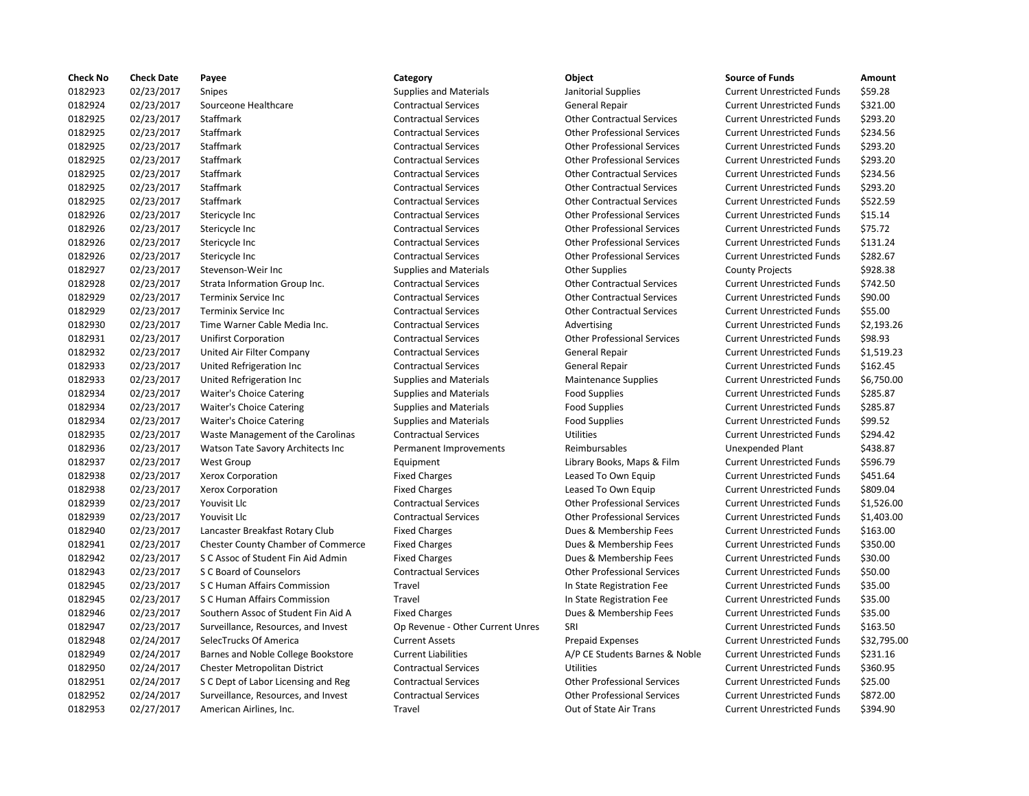| <b>Check No</b> | <b>Check Date</b> | Payee                                     | Category                         | Object                             | <b>Source of Funds</b>            | Amount    |
|-----------------|-------------------|-------------------------------------------|----------------------------------|------------------------------------|-----------------------------------|-----------|
| 0182923         | 02/23/2017        | Snipes                                    | <b>Supplies and Materials</b>    | Janitorial Supplies                | <b>Current Unrestricted Funds</b> | \$59.28   |
| 0182924         | 02/23/2017        | Sourceone Healthcare                      | <b>Contractual Services</b>      | General Repair                     | <b>Current Unrestricted Funds</b> | \$321.00  |
| 0182925         | 02/23/2017        | Staffmark                                 | <b>Contractual Services</b>      | <b>Other Contractual Services</b>  | <b>Current Unrestricted Funds</b> | \$293.20  |
| 0182925         | 02/23/2017        | Staffmark                                 | <b>Contractual Services</b>      | <b>Other Professional Services</b> | <b>Current Unrestricted Funds</b> | \$234.56  |
| 0182925         | 02/23/2017        | Staffmark                                 | <b>Contractual Services</b>      | <b>Other Professional Services</b> | <b>Current Unrestricted Funds</b> | \$293.20  |
| 0182925         | 02/23/2017        | Staffmark                                 | <b>Contractual Services</b>      | <b>Other Professional Services</b> | <b>Current Unrestricted Funds</b> | \$293.20  |
| 0182925         | 02/23/2017        | <b>Staffmark</b>                          | <b>Contractual Services</b>      | <b>Other Contractual Services</b>  | <b>Current Unrestricted Funds</b> | \$234.56  |
| 0182925         | 02/23/2017        | Staffmark                                 | <b>Contractual Services</b>      | <b>Other Contractual Services</b>  | <b>Current Unrestricted Funds</b> | \$293.20  |
| 0182925         | 02/23/2017        | Staffmark                                 | <b>Contractual Services</b>      | <b>Other Contractual Services</b>  | <b>Current Unrestricted Funds</b> | \$522.59  |
| 0182926         | 02/23/2017        | Stericycle Inc                            | <b>Contractual Services</b>      | <b>Other Professional Services</b> | <b>Current Unrestricted Funds</b> | \$15.14   |
| 0182926         | 02/23/2017        | Stericycle Inc                            | <b>Contractual Services</b>      | <b>Other Professional Services</b> | <b>Current Unrestricted Funds</b> | \$75.72   |
| 0182926         | 02/23/2017        | Stericycle Inc                            | <b>Contractual Services</b>      | <b>Other Professional Services</b> | <b>Current Unrestricted Funds</b> | \$131.24  |
| 0182926         | 02/23/2017        | Stericycle Inc                            | <b>Contractual Services</b>      | <b>Other Professional Services</b> | <b>Current Unrestricted Funds</b> | \$282.67  |
| 0182927         | 02/23/2017        | Stevenson-Weir Inc                        | <b>Supplies and Materials</b>    | <b>Other Supplies</b>              | <b>County Projects</b>            | \$928.38  |
| 0182928         | 02/23/2017        | Strata Information Group Inc.             | <b>Contractual Services</b>      | <b>Other Contractual Services</b>  | <b>Current Unrestricted Funds</b> | \$742.50  |
| 0182929         | 02/23/2017        | Terminix Service Inc                      | <b>Contractual Services</b>      | <b>Other Contractual Services</b>  | <b>Current Unrestricted Funds</b> | \$90.00   |
| 0182929         | 02/23/2017        | <b>Terminix Service Inc.</b>              | <b>Contractual Services</b>      | <b>Other Contractual Services</b>  | <b>Current Unrestricted Funds</b> | \$55.00   |
| 0182930         | 02/23/2017        | Time Warner Cable Media Inc.              | <b>Contractual Services</b>      | Advertising                        | <b>Current Unrestricted Funds</b> | \$2,193.2 |
| 0182931         | 02/23/2017        | <b>Unifirst Corporation</b>               | <b>Contractual Services</b>      | <b>Other Professional Services</b> | <b>Current Unrestricted Funds</b> | \$98.93   |
| 0182932         | 02/23/2017        | United Air Filter Company                 | <b>Contractual Services</b>      | General Repair                     | <b>Current Unrestricted Funds</b> | \$1,519.2 |
| 0182933         | 02/23/2017        | United Refrigeration Inc                  | <b>Contractual Services</b>      | General Repair                     | <b>Current Unrestricted Funds</b> | \$162.45  |
| 0182933         | 02/23/2017        | United Refrigeration Inc                  | <b>Supplies and Materials</b>    | <b>Maintenance Supplies</b>        | <b>Current Unrestricted Funds</b> | \$6,750.0 |
| 0182934         | 02/23/2017        | Waiter's Choice Catering                  | <b>Supplies and Materials</b>    | <b>Food Supplies</b>               | <b>Current Unrestricted Funds</b> | \$285.87  |
| 0182934         | 02/23/2017        | <b>Waiter's Choice Catering</b>           | <b>Supplies and Materials</b>    | <b>Food Supplies</b>               | <b>Current Unrestricted Funds</b> | \$285.87  |
| 0182934         | 02/23/2017        | <b>Waiter's Choice Catering</b>           | <b>Supplies and Materials</b>    | <b>Food Supplies</b>               | <b>Current Unrestricted Funds</b> | \$99.52   |
| 0182935         | 02/23/2017        | Waste Management of the Carolinas         | <b>Contractual Services</b>      | Utilities                          | <b>Current Unrestricted Funds</b> | \$294.42  |
| 0182936         | 02/23/2017        | Watson Tate Savory Architects Inc         | Permanent Improvements           | Reimbursables                      | <b>Unexpended Plant</b>           | \$438.87  |
| 0182937         | 02/23/2017        | West Group                                | Equipment                        | Library Books, Maps & Film         | <b>Current Unrestricted Funds</b> | \$596.79  |
| 0182938         | 02/23/2017        | Xerox Corporation                         | <b>Fixed Charges</b>             | Leased To Own Equip                | <b>Current Unrestricted Funds</b> | \$451.64  |
| 0182938         | 02/23/2017        | <b>Xerox Corporation</b>                  | <b>Fixed Charges</b>             | Leased To Own Equip                | <b>Current Unrestricted Funds</b> | \$809.04  |
| 0182939         | 02/23/2017        | Youvisit Llc                              | <b>Contractual Services</b>      | <b>Other Professional Services</b> | <b>Current Unrestricted Funds</b> | \$1,526.0 |
| 0182939         | 02/23/2017        | Youvisit Llc                              | <b>Contractual Services</b>      | <b>Other Professional Services</b> | <b>Current Unrestricted Funds</b> | \$1,403.0 |
| 0182940         | 02/23/2017        | Lancaster Breakfast Rotary Club           | <b>Fixed Charges</b>             | Dues & Membership Fees             | <b>Current Unrestricted Funds</b> | \$163.00  |
| 0182941         | 02/23/2017        | <b>Chester County Chamber of Commerce</b> | <b>Fixed Charges</b>             | Dues & Membership Fees             | <b>Current Unrestricted Funds</b> | \$350.00  |
| 0182942         | 02/23/2017        | S C Assoc of Student Fin Aid Admin        | <b>Fixed Charges</b>             | Dues & Membership Fees             | <b>Current Unrestricted Funds</b> | \$30.00   |
| 0182943         | 02/23/2017        | S C Board of Counselors                   | <b>Contractual Services</b>      | <b>Other Professional Services</b> | <b>Current Unrestricted Funds</b> | \$50.00   |
| 0182945         | 02/23/2017        | S C Human Affairs Commission              | Travel                           | In State Registration Fee          | <b>Current Unrestricted Funds</b> | \$35.00   |
| 0182945         | 02/23/2017        | S C Human Affairs Commission              | Travel                           | In State Registration Fee          | <b>Current Unrestricted Funds</b> | \$35.00   |
| 0182946         | 02/23/2017        | Southern Assoc of Student Fin Aid A       | <b>Fixed Charges</b>             | Dues & Membership Fees             | <b>Current Unrestricted Funds</b> | \$35.00   |
| 0182947         | 02/23/2017        | Surveillance, Resources, and Invest       | Op Revenue - Other Current Unres | SRI                                | <b>Current Unrestricted Funds</b> | \$163.50  |
| 0182948         | 02/24/2017        | SelecTrucks Of America                    | <b>Current Assets</b>            | <b>Prepaid Expenses</b>            | <b>Current Unrestricted Funds</b> | \$32,795  |
| 0182949         | 02/24/2017        | Barnes and Noble College Bookstore        | <b>Current Liabilities</b>       | A/P CE Students Barnes & Noble     | <b>Current Unrestricted Funds</b> | \$231.16  |
| 0182950         | 02/24/2017        | Chester Metropolitan District             | <b>Contractual Services</b>      | Utilities                          | <b>Current Unrestricted Funds</b> | \$360.95  |
| 0182951         | 02/24/2017        | S C Dept of Labor Licensing and Reg       | <b>Contractual Services</b>      | <b>Other Professional Services</b> | <b>Current Unrestricted Funds</b> | \$25.00   |
| 0182952         | 02/24/2017        | Surveillance, Resources, and Invest       | <b>Contractual Services</b>      | <b>Other Professional Services</b> | <b>Current Unrestricted Funds</b> | \$872.00  |
| 0182953         | 02/27/2017        | American Airlines, Inc.                   | Travel                           | Out of State Air Trans             | <b>Current Unrestricted Funds</b> | \$394.90  |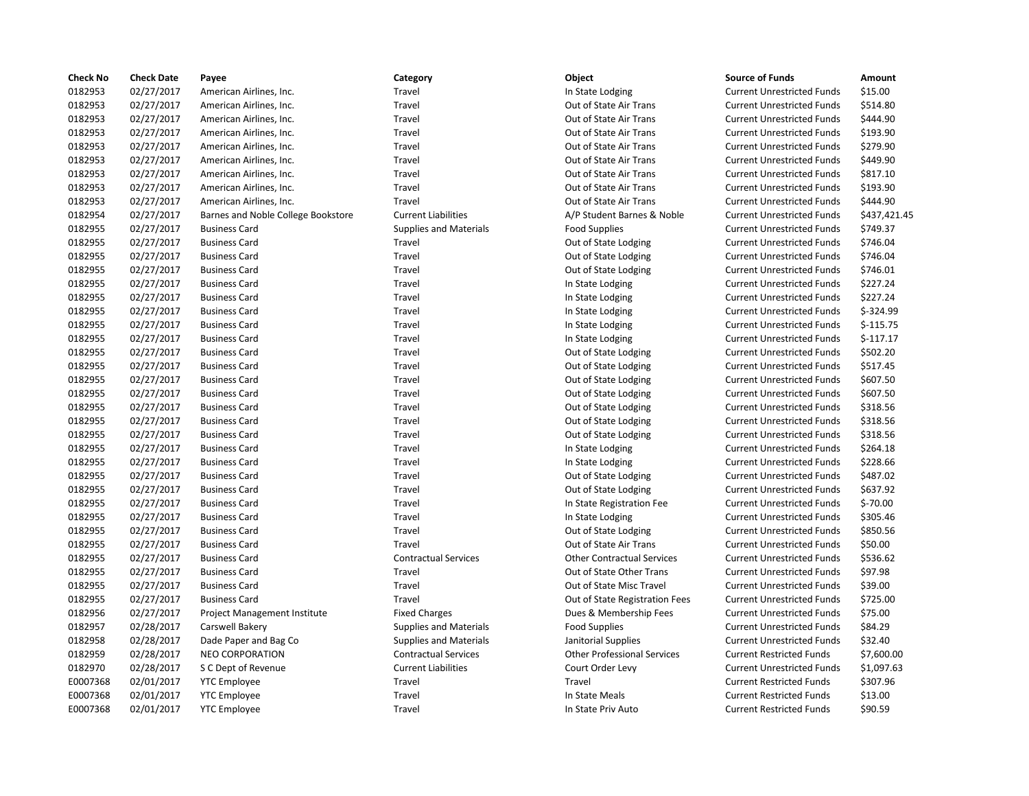| <b>Check No</b> | <b>Check Date</b> | Payee                              | Category                      | Object                             | <b>Source of Funds</b>            | Amount       |
|-----------------|-------------------|------------------------------------|-------------------------------|------------------------------------|-----------------------------------|--------------|
| 0182953         | 02/27/2017        | American Airlines, Inc.            | Travel                        | In State Lodging                   | <b>Current Unrestricted Funds</b> | \$15.00      |
| 0182953         | 02/27/2017        | American Airlines, Inc.            | Travel                        | Out of State Air Trans             | <b>Current Unrestricted Funds</b> | \$514.80     |
| 0182953         | 02/27/2017        | American Airlines, Inc.            | Travel                        | Out of State Air Trans             | <b>Current Unrestricted Funds</b> | \$444.90     |
| 0182953         | 02/27/2017        | American Airlines, Inc.            | Travel                        | Out of State Air Trans             | <b>Current Unrestricted Funds</b> | \$193.90     |
| 0182953         | 02/27/2017        | American Airlines, Inc.            | Travel                        | Out of State Air Trans             | <b>Current Unrestricted Funds</b> | \$279.90     |
| 0182953         | 02/27/2017        | American Airlines, Inc.            | Travel                        | Out of State Air Trans             | <b>Current Unrestricted Funds</b> | \$449.90     |
| 0182953         | 02/27/2017        | American Airlines, Inc.            | Travel                        | Out of State Air Trans             | <b>Current Unrestricted Funds</b> | \$817.10     |
| 0182953         | 02/27/2017        | American Airlines, Inc.            | Travel                        | Out of State Air Trans             | <b>Current Unrestricted Funds</b> | \$193.90     |
| 0182953         | 02/27/2017        | American Airlines, Inc.            | Travel                        | Out of State Air Trans             | <b>Current Unrestricted Funds</b> | \$444.90     |
| 0182954         | 02/27/2017        | Barnes and Noble College Bookstore | <b>Current Liabilities</b>    | A/P Student Barnes & Noble         | <b>Current Unrestricted Funds</b> | \$437,421.45 |
| 0182955         | 02/27/2017        | <b>Business Card</b>               | <b>Supplies and Materials</b> | <b>Food Supplies</b>               | <b>Current Unrestricted Funds</b> | \$749.37     |
| 0182955         | 02/27/2017        | <b>Business Card</b>               | Travel                        | Out of State Lodging               | <b>Current Unrestricted Funds</b> | \$746.04     |
| 0182955         | 02/27/2017        | <b>Business Card</b>               | Travel                        | Out of State Lodging               | <b>Current Unrestricted Funds</b> | \$746.04     |
| 0182955         | 02/27/2017        | <b>Business Card</b>               | Travel                        | Out of State Lodging               | <b>Current Unrestricted Funds</b> | \$746.01     |
| 0182955         | 02/27/2017        | <b>Business Card</b>               | Travel                        | In State Lodging                   | <b>Current Unrestricted Funds</b> | \$227.24     |
| 0182955         | 02/27/2017        | <b>Business Card</b>               | Travel                        | In State Lodging                   | <b>Current Unrestricted Funds</b> | \$227.24     |
| 0182955         | 02/27/2017        | <b>Business Card</b>               | Travel                        | In State Lodging                   | <b>Current Unrestricted Funds</b> | $$-324.99$   |
| 0182955         | 02/27/2017        | <b>Business Card</b>               | Travel                        | In State Lodging                   | <b>Current Unrestricted Funds</b> | $$-115.75$   |
| 0182955         | 02/27/2017        | <b>Business Card</b>               | Travel                        | In State Lodging                   | <b>Current Unrestricted Funds</b> | $$-117.17$   |
| 0182955         | 02/27/2017        | <b>Business Card</b>               | Travel                        | Out of State Lodging               | <b>Current Unrestricted Funds</b> | \$502.20     |
| 0182955         | 02/27/2017        | <b>Business Card</b>               | Travel                        | Out of State Lodging               | <b>Current Unrestricted Funds</b> | \$517.45     |
| 0182955         | 02/27/2017        | <b>Business Card</b>               | Travel                        | Out of State Lodging               | <b>Current Unrestricted Funds</b> | \$607.50     |
| 0182955         | 02/27/2017        | <b>Business Card</b>               | Travel                        | Out of State Lodging               | <b>Current Unrestricted Funds</b> | \$607.50     |
| 0182955         | 02/27/2017        | <b>Business Card</b>               | Travel                        | Out of State Lodging               | <b>Current Unrestricted Funds</b> | \$318.56     |
| 0182955         | 02/27/2017        | <b>Business Card</b>               | Travel                        | Out of State Lodging               | <b>Current Unrestricted Funds</b> | \$318.56     |
| 0182955         | 02/27/2017        | <b>Business Card</b>               | Travel                        | Out of State Lodging               | <b>Current Unrestricted Funds</b> | \$318.56     |
| 0182955         | 02/27/2017        | <b>Business Card</b>               | Travel                        | In State Lodging                   | <b>Current Unrestricted Funds</b> | \$264.18     |
| 0182955         | 02/27/2017        | <b>Business Card</b>               | Travel                        | In State Lodging                   | <b>Current Unrestricted Funds</b> | \$228.66     |
| 0182955         | 02/27/2017        | <b>Business Card</b>               | Travel                        | Out of State Lodging               | <b>Current Unrestricted Funds</b> | \$487.02     |
| 0182955         | 02/27/2017        | <b>Business Card</b>               | Travel                        | Out of State Lodging               | <b>Current Unrestricted Funds</b> | \$637.92     |
| 0182955         | 02/27/2017        | <b>Business Card</b>               | Travel                        | In State Registration Fee          | <b>Current Unrestricted Funds</b> | $$-70.00$    |
| 0182955         | 02/27/2017        | <b>Business Card</b>               | Travel                        | In State Lodging                   | <b>Current Unrestricted Funds</b> | \$305.46     |
| 0182955         | 02/27/2017        | <b>Business Card</b>               | Travel                        | Out of State Lodging               | <b>Current Unrestricted Funds</b> | \$850.56     |
| 0182955         | 02/27/2017        | <b>Business Card</b>               | Travel                        | Out of State Air Trans             | <b>Current Unrestricted Funds</b> | \$50.00      |
| 0182955         | 02/27/2017        | <b>Business Card</b>               | <b>Contractual Services</b>   | <b>Other Contractual Services</b>  | <b>Current Unrestricted Funds</b> | \$536.62     |
| 0182955         | 02/27/2017        | <b>Business Card</b>               | Travel                        | Out of State Other Trans           | <b>Current Unrestricted Funds</b> | \$97.98      |
| 0182955         | 02/27/2017        | <b>Business Card</b>               | Travel                        | Out of State Misc Travel           | <b>Current Unrestricted Funds</b> | \$39.00      |
| 0182955         | 02/27/2017        | <b>Business Card</b>               | Travel                        | Out of State Registration Fees     | <b>Current Unrestricted Funds</b> | \$725.00     |
| 0182956         | 02/27/2017        | Project Management Institute       | <b>Fixed Charges</b>          | Dues & Membership Fees             | <b>Current Unrestricted Funds</b> | \$75.00      |
| 0182957         | 02/28/2017        | Carswell Bakery                    | <b>Supplies and Materials</b> | <b>Food Supplies</b>               | <b>Current Unrestricted Funds</b> | \$84.29      |
| 0182958         | 02/28/2017        | Dade Paper and Bag Co              | <b>Supplies and Materials</b> | Janitorial Supplies                | <b>Current Unrestricted Funds</b> | \$32.40      |
| 0182959         | 02/28/2017        | <b>NEO CORPORATION</b>             | <b>Contractual Services</b>   | <b>Other Professional Services</b> | <b>Current Restricted Funds</b>   | \$7,600.00   |
| 0182970         | 02/28/2017        | S C Dept of Revenue                | <b>Current Liabilities</b>    | Court Order Levy                   | <b>Current Unrestricted Funds</b> | \$1,097.63   |
| E0007368        | 02/01/2017        | <b>YTC Employee</b>                | Travel                        | Travel                             | <b>Current Restricted Funds</b>   | \$307.96     |
| E0007368        | 02/01/2017        | <b>YTC Employee</b>                | Travel                        | In State Meals                     | <b>Current Restricted Funds</b>   | \$13.00      |
| E0007368        | 02/01/2017        | <b>YTC Employee</b>                | Travel                        | In State Priv Auto                 | <b>Current Restricted Funds</b>   | \$90.59      |

| <b>Source of Funds</b>            | Amount      |
|-----------------------------------|-------------|
| <b>Current Unrestricted Funds</b> | \$15.00     |
| <b>Current Unrestricted Funds</b> | \$514.80    |
| <b>Current Unrestricted Funds</b> | \$444.90    |
| <b>Current Unrestricted Funds</b> | \$193.90    |
| <b>Current Unrestricted Funds</b> | \$279.90    |
| <b>Current Unrestricted Funds</b> | \$449.90    |
| <b>Current Unrestricted Funds</b> | \$817.10    |
| <b>Current Unrestricted Funds</b> | \$193.90    |
| <b>Current Unrestricted Funds</b> | \$444.90    |
| <b>Current Unrestricted Funds</b> | \$437,421.4 |
| <b>Current Unrestricted Funds</b> | \$749.37    |
| <b>Current Unrestricted Funds</b> | \$746.04    |
| <b>Current Unrestricted Funds</b> | \$746.04    |
| <b>Current Unrestricted Funds</b> | \$746.01    |
| <b>Current Unrestricted Funds</b> | \$227.24    |
| <b>Current Unrestricted Funds</b> | \$227.24    |
| <b>Current Unrestricted Funds</b> | \$-324.99   |
| <b>Current Unrestricted Funds</b> | $$-115.75$  |
| <b>Current Unrestricted Funds</b> | $$-117.17$  |
| <b>Current Unrestricted Funds</b> | \$502.20    |
| <b>Current Unrestricted Funds</b> | \$517.45    |
| <b>Current Unrestricted Funds</b> | \$607.50    |
| <b>Current Unrestricted Funds</b> | \$607.50    |
| <b>Current Unrestricted Funds</b> | \$318.56    |
| <b>Current Unrestricted Funds</b> | \$318.56    |
| <b>Current Unrestricted Funds</b> | \$318.56    |
| <b>Current Unrestricted Funds</b> | \$264.18    |
| <b>Current Unrestricted Funds</b> | \$228.66    |
| <b>Current Unrestricted Funds</b> | \$487.02    |
| <b>Current Unrestricted Funds</b> | \$637.92    |
| <b>Current Unrestricted Funds</b> | \$-70.00    |
| <b>Current Unrestricted Funds</b> | \$305.46    |
| <b>Current Unrestricted Funds</b> | \$850.56    |
| <b>Current Unrestricted Funds</b> | \$50.00     |
| <b>Current Unrestricted Funds</b> | \$536.62    |
| <b>Current Unrestricted Funds</b> | \$97.98     |
| <b>Current Unrestricted Funds</b> | \$39.00     |
| <b>Current Unrestricted Funds</b> | \$725.00    |
| <b>Current Unrestricted Funds</b> | \$75.00     |
| <b>Current Unrestricted Funds</b> | \$84.29     |
| <b>Current Unrestricted Funds</b> | \$32.40     |
| <b>Current Restricted Funds</b>   | \$7,600.00  |
| <b>Current Unrestricted Funds</b> | \$1,097.63  |
| <b>Current Restricted Funds</b>   | \$307.96    |
| <b>Current Restricted Funds</b>   | \$13.00     |
| <b>Current Restricted Funds</b>   | \$90.59     |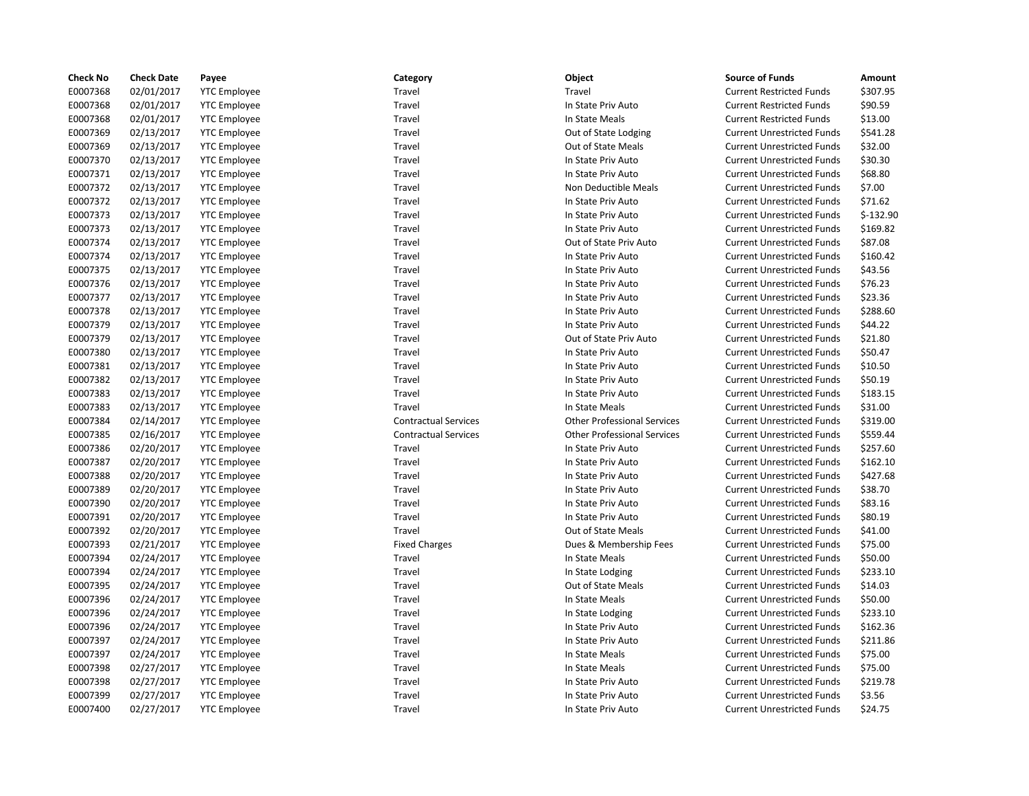| <b>Check No</b> | <b>Check Date</b> | Payee               | Category                    | Object                             | <b>Source of Funds</b>            | Amount     |
|-----------------|-------------------|---------------------|-----------------------------|------------------------------------|-----------------------------------|------------|
| E0007368        | 02/01/2017        | <b>YTC Employee</b> | Travel                      | Travel                             | <b>Current Restricted Funds</b>   | \$307.95   |
| E0007368        | 02/01/2017        | <b>YTC Employee</b> | Travel                      | In State Priv Auto                 | <b>Current Restricted Funds</b>   | \$90.59    |
| E0007368        | 02/01/2017        | <b>YTC</b> Employee | Travel                      | In State Meals                     | <b>Current Restricted Funds</b>   | \$13.00    |
| E0007369        | 02/13/2017        | <b>YTC Employee</b> | Travel                      | Out of State Lodging               | <b>Current Unrestricted Funds</b> | \$541.28   |
| E0007369        | 02/13/2017        | <b>YTC Employee</b> | Travel                      | Out of State Meals                 | <b>Current Unrestricted Funds</b> | \$32.00    |
| E0007370        | 02/13/2017        | <b>YTC</b> Employee | Travel                      | In State Priv Auto                 | <b>Current Unrestricted Funds</b> | \$30.30    |
| E0007371        | 02/13/2017        | <b>YTC Employee</b> | Travel                      | In State Priv Auto                 | <b>Current Unrestricted Funds</b> | \$68.80    |
| E0007372        | 02/13/2017        | <b>YTC Employee</b> | Travel                      | Non Deductible Meals               | <b>Current Unrestricted Funds</b> | \$7.00     |
| E0007372        | 02/13/2017        | <b>YTC Employee</b> | Travel                      | In State Priv Auto                 | <b>Current Unrestricted Funds</b> | \$71.62    |
| E0007373        | 02/13/2017        | <b>YTC Employee</b> | Travel                      | In State Priv Auto                 | <b>Current Unrestricted Funds</b> | $$-132.90$ |
| E0007373        | 02/13/2017        | <b>YTC Employee</b> | Travel                      | In State Priv Auto                 | <b>Current Unrestricted Funds</b> | \$169.82   |
| E0007374        | 02/13/2017        | <b>YTC</b> Employee | Travel                      | Out of State Priv Auto             | <b>Current Unrestricted Funds</b> | \$87.08    |
| E0007374        | 02/13/2017        | <b>YTC</b> Employee | Travel                      | In State Priv Auto                 | <b>Current Unrestricted Funds</b> | \$160.42   |
| E0007375        | 02/13/2017        | <b>YTC Employee</b> | Travel                      | In State Priv Auto                 | <b>Current Unrestricted Funds</b> | \$43.56    |
| E0007376        | 02/13/2017        | <b>YTC</b> Employee | Travel                      | In State Priv Auto                 | <b>Current Unrestricted Funds</b> | \$76.23    |
| E0007377        | 02/13/2017        | <b>YTC Employee</b> | Travel                      | In State Priv Auto                 | <b>Current Unrestricted Funds</b> | \$23.36    |
| E0007378        | 02/13/2017        | <b>YTC</b> Employee | Travel                      | In State Priv Auto                 | <b>Current Unrestricted Funds</b> | \$288.60   |
| E0007379        | 02/13/2017        | <b>YTC Employee</b> | Travel                      | In State Priv Auto                 | <b>Current Unrestricted Funds</b> | \$44.22    |
| E0007379        | 02/13/2017        | <b>YTC Employee</b> | Travel                      | Out of State Priv Auto             | <b>Current Unrestricted Funds</b> | \$21.80    |
| E0007380        | 02/13/2017        | <b>YTC Employee</b> | Travel                      | In State Priv Auto                 | <b>Current Unrestricted Funds</b> | \$50.47    |
| E0007381        | 02/13/2017        | <b>YTC Employee</b> | Travel                      | In State Priv Auto                 | <b>Current Unrestricted Funds</b> | \$10.50    |
| E0007382        | 02/13/2017        | <b>YTC</b> Employee | Travel                      | In State Priv Auto                 | <b>Current Unrestricted Funds</b> | \$50.19    |
| E0007383        | 02/13/2017        | <b>YTC Employee</b> | Travel                      | In State Priv Auto                 | <b>Current Unrestricted Funds</b> | \$183.15   |
| E0007383        | 02/13/2017        | <b>YTC Employee</b> | Travel                      | In State Meals                     | <b>Current Unrestricted Funds</b> | \$31.00    |
| E0007384        | 02/14/2017        | <b>YTC</b> Employee | <b>Contractual Services</b> | <b>Other Professional Services</b> | <b>Current Unrestricted Funds</b> | \$319.00   |
| E0007385        | 02/16/2017        | <b>YTC Employee</b> | <b>Contractual Services</b> | <b>Other Professional Services</b> | <b>Current Unrestricted Funds</b> | \$559.44   |
| E0007386        | 02/20/2017        | <b>YTC Employee</b> | Travel                      | In State Priv Auto                 | <b>Current Unrestricted Funds</b> | \$257.60   |
| E0007387        | 02/20/2017        | <b>YTC</b> Employee | Travel                      | In State Priv Auto                 | <b>Current Unrestricted Funds</b> | \$162.10   |
| E0007388        | 02/20/2017        | <b>YTC Employee</b> | Travel                      | In State Priv Auto                 | <b>Current Unrestricted Funds</b> | \$427.68   |
| E0007389        | 02/20/2017        | <b>YTC Employee</b> | Travel                      | In State Priv Auto                 | <b>Current Unrestricted Funds</b> | \$38.70    |
| E0007390        | 02/20/2017        | <b>YTC</b> Employee | Travel                      | In State Priv Auto                 | <b>Current Unrestricted Funds</b> | \$83.16    |
| E0007391        | 02/20/2017        | <b>YTC Employee</b> | Travel                      | In State Priv Auto                 | <b>Current Unrestricted Funds</b> | \$80.19    |
| E0007392        | 02/20/2017        | <b>YTC Employee</b> | Travel                      | Out of State Meals                 | <b>Current Unrestricted Funds</b> | \$41.00    |
| E0007393        | 02/21/2017        | <b>YTC</b> Employee | <b>Fixed Charges</b>        | Dues & Membership Fees             | <b>Current Unrestricted Funds</b> | \$75.00    |
| E0007394        | 02/24/2017        | <b>YTC Employee</b> | Travel                      | In State Meals                     | <b>Current Unrestricted Funds</b> | \$50.00    |
| E0007394        | 02/24/2017        | <b>YTC Employee</b> | Travel                      | In State Lodging                   | <b>Current Unrestricted Funds</b> | \$233.10   |
| E0007395        | 02/24/2017        | <b>YTC</b> Employee | Travel                      | Out of State Meals                 | <b>Current Unrestricted Funds</b> | \$14.03    |
| E0007396        | 02/24/2017        | <b>YTC</b> Employee | Travel                      | In State Meals                     | <b>Current Unrestricted Funds</b> | \$50.00    |
| E0007396        | 02/24/2017        | <b>YTC Employee</b> | Travel                      | In State Lodging                   | <b>Current Unrestricted Funds</b> | \$233.10   |
| E0007396        | 02/24/2017        | <b>YTC</b> Employee | Travel                      | In State Priv Auto                 | <b>Current Unrestricted Funds</b> | \$162.36   |
| E0007397        | 02/24/2017        | <b>YTC Employee</b> | Travel                      | In State Priv Auto                 | <b>Current Unrestricted Funds</b> | \$211.86   |
| E0007397        | 02/24/2017        | <b>YTC Employee</b> | Travel                      | In State Meals                     | <b>Current Unrestricted Funds</b> | \$75.00    |
| E0007398        | 02/27/2017        | <b>YTC</b> Employee | Travel                      | In State Meals                     | <b>Current Unrestricted Funds</b> | \$75.00    |
| E0007398        | 02/27/2017        | <b>YTC Employee</b> | Travel                      | In State Priv Auto                 | <b>Current Unrestricted Funds</b> | \$219.78   |
| E0007399        | 02/27/2017        | <b>YTC Employee</b> | Travel                      | In State Priv Auto                 | <b>Current Unrestricted Funds</b> | \$3.56     |
| E0007400        | 02/27/2017        | <b>YTC Employee</b> | Travel                      | In State Priv Auto                 | <b>Current Unrestricted Funds</b> | \$24.75    |